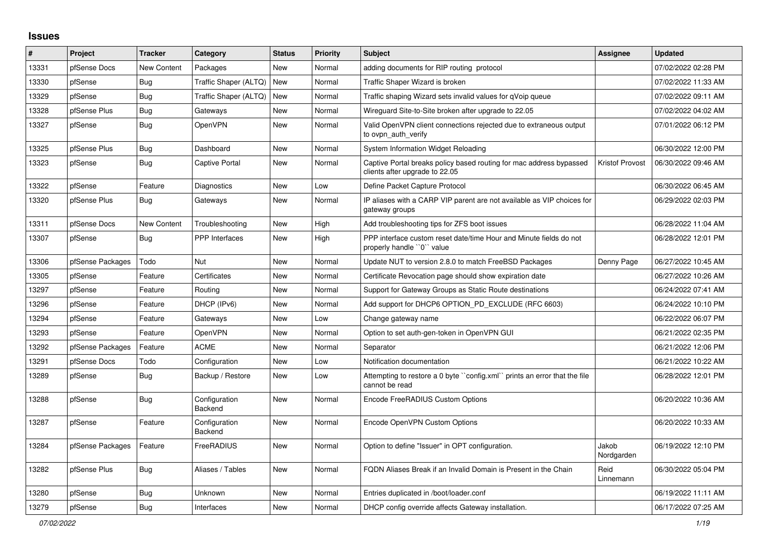## **Issues**

| #     | Project          | <b>Tracker</b>     | Category                 | <b>Status</b> | <b>Priority</b> | <b>Subject</b>                                                                                        | <b>Assignee</b>     | <b>Updated</b>      |
|-------|------------------|--------------------|--------------------------|---------------|-----------------|-------------------------------------------------------------------------------------------------------|---------------------|---------------------|
| 13331 | pfSense Docs     | <b>New Content</b> | Packages                 | New           | Normal          | adding documents for RIP routing protocol                                                             |                     | 07/02/2022 02:28 PM |
| 13330 | pfSense          | Bug                | Traffic Shaper (ALTQ)    | New           | Normal          | Traffic Shaper Wizard is broken                                                                       |                     | 07/02/2022 11:33 AM |
| 13329 | pfSense          | <b>Bug</b>         | Traffic Shaper (ALTQ)    | New           | Normal          | Traffic shaping Wizard sets invalid values for qVoip queue                                            |                     | 07/02/2022 09:11 AM |
| 13328 | pfSense Plus     | <b>Bug</b>         | Gateways                 | New           | Normal          | Wireguard Site-to-Site broken after upgrade to 22.05                                                  |                     | 07/02/2022 04:02 AM |
| 13327 | pfSense          | <b>Bug</b>         | <b>OpenVPN</b>           | New           | Normal          | Valid OpenVPN client connections rejected due to extraneous output<br>to ovpn_auth_verify             |                     | 07/01/2022 06:12 PM |
| 13325 | pfSense Plus     | Bug                | Dashboard                | New           | Normal          | System Information Widget Reloading                                                                   |                     | 06/30/2022 12:00 PM |
| 13323 | pfSense          | <b>Bug</b>         | <b>Captive Portal</b>    | New           | Normal          | Captive Portal breaks policy based routing for mac address bypassed<br>clients after upgrade to 22.05 | Kristof Provost     | 06/30/2022 09:46 AM |
| 13322 | pfSense          | Feature            | Diagnostics              | New           | Low             | Define Packet Capture Protocol                                                                        |                     | 06/30/2022 06:45 AM |
| 13320 | pfSense Plus     | <b>Bug</b>         | Gateways                 | New           | Normal          | IP aliases with a CARP VIP parent are not available as VIP choices for<br>gateway groups              |                     | 06/29/2022 02:03 PM |
| 13311 | pfSense Docs     | New Content        | Troubleshooting          | New           | High            | Add troubleshooting tips for ZFS boot issues                                                          |                     | 06/28/2022 11:04 AM |
| 13307 | pfSense          | Bug                | <b>PPP</b> Interfaces    | New           | High            | PPP interface custom reset date/time Hour and Minute fields do not<br>properly handle "0" value       |                     | 06/28/2022 12:01 PM |
| 13306 | pfSense Packages | Todo               | Nut                      | New           | Normal          | Update NUT to version 2.8.0 to match FreeBSD Packages                                                 | Denny Page          | 06/27/2022 10:45 AM |
| 13305 | pfSense          | Feature            | Certificates             | New           | Normal          | Certificate Revocation page should show expiration date                                               |                     | 06/27/2022 10:26 AM |
| 13297 | pfSense          | Feature            | Routing                  | New           | Normal          | Support for Gateway Groups as Static Route destinations                                               |                     | 06/24/2022 07:41 AM |
| 13296 | pfSense          | Feature            | DHCP (IPv6)              | New           | Normal          | Add support for DHCP6 OPTION PD EXCLUDE (RFC 6603)                                                    |                     | 06/24/2022 10:10 PM |
| 13294 | pfSense          | Feature            | Gateways                 | New           | Low             | Change gateway name                                                                                   |                     | 06/22/2022 06:07 PM |
| 13293 | pfSense          | Feature            | <b>OpenVPN</b>           | New           | Normal          | Option to set auth-gen-token in OpenVPN GUI                                                           |                     | 06/21/2022 02:35 PM |
| 13292 | pfSense Packages | Feature            | <b>ACME</b>              | New           | Normal          | Separator                                                                                             |                     | 06/21/2022 12:06 PM |
| 13291 | pfSense Docs     | Todo               | Configuration            | New           | Low             | Notification documentation                                                                            |                     | 06/21/2022 10:22 AM |
| 13289 | pfSense          | Bug                | Backup / Restore         | New           | Low             | Attempting to restore a 0 byte "config.xml" prints an error that the file<br>cannot be read           |                     | 06/28/2022 12:01 PM |
| 13288 | pfSense          | <b>Bug</b>         | Configuration<br>Backend | New           | Normal          | Encode FreeRADIUS Custom Options                                                                      |                     | 06/20/2022 10:36 AM |
| 13287 | pfSense          | Feature            | Configuration<br>Backend | New           | Normal          | Encode OpenVPN Custom Options                                                                         |                     | 06/20/2022 10:33 AM |
| 13284 | pfSense Packages | Feature            | FreeRADIUS               | New           | Normal          | Option to define "Issuer" in OPT configuration.                                                       | Jakob<br>Nordgarden | 06/19/2022 12:10 PM |
| 13282 | pfSense Plus     | <b>Bug</b>         | Aliases / Tables         | New           | Normal          | FQDN Aliases Break if an Invalid Domain is Present in the Chain                                       | Reid<br>Linnemann   | 06/30/2022 05:04 PM |
| 13280 | pfSense          | Bug                | Unknown                  | New           | Normal          | Entries duplicated in /boot/loader.conf                                                               |                     | 06/19/2022 11:11 AM |
| 13279 | pfSense          | Bug                | Interfaces               | <b>New</b>    | Normal          | DHCP config override affects Gateway installation.                                                    |                     | 06/17/2022 07:25 AM |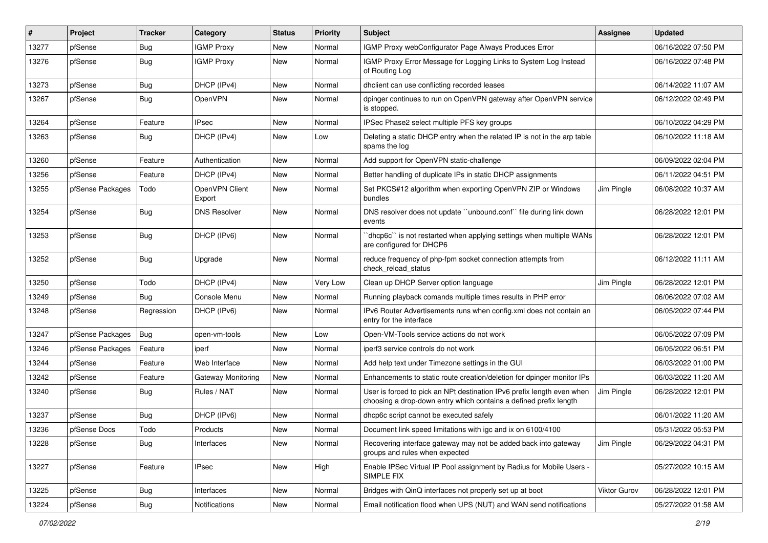| $\sharp$ | Project          | <b>Tracker</b> | Category                  | <b>Status</b> | <b>Priority</b> | <b>Subject</b>                                                                                                                              | Assignee            | <b>Updated</b>      |
|----------|------------------|----------------|---------------------------|---------------|-----------------|---------------------------------------------------------------------------------------------------------------------------------------------|---------------------|---------------------|
| 13277    | pfSense          | Bug            | <b>IGMP Proxy</b>         | New           | Normal          | IGMP Proxy webConfigurator Page Always Produces Error                                                                                       |                     | 06/16/2022 07:50 PM |
| 13276    | pfSense          | Bug            | <b>IGMP Proxy</b>         | New           | Normal          | IGMP Proxy Error Message for Logging Links to System Log Instead<br>of Routing Log                                                          |                     | 06/16/2022 07:48 PM |
| 13273    | pfSense          | Bug            | DHCP (IPv4)               | New           | Normal          | dhclient can use conflicting recorded leases                                                                                                |                     | 06/14/2022 11:07 AM |
| 13267    | pfSense          | Bug            | OpenVPN                   | New           | Normal          | dpinger continues to run on OpenVPN gateway after OpenVPN service<br>is stopped.                                                            |                     | 06/12/2022 02:49 PM |
| 13264    | pfSense          | Feature        | <b>IPsec</b>              | New           | Normal          | IPSec Phase2 select multiple PFS key groups                                                                                                 |                     | 06/10/2022 04:29 PM |
| 13263    | pfSense          | Bug            | DHCP (IPv4)               | New           | Low             | Deleting a static DHCP entry when the related IP is not in the arp table<br>spams the log                                                   |                     | 06/10/2022 11:18 AM |
| 13260    | pfSense          | Feature        | Authentication            | New           | Normal          | Add support for OpenVPN static-challenge                                                                                                    |                     | 06/09/2022 02:04 PM |
| 13256    | pfSense          | Feature        | DHCP (IPv4)               | New           | Normal          | Better handling of duplicate IPs in static DHCP assignments                                                                                 |                     | 06/11/2022 04:51 PM |
| 13255    | pfSense Packages | Todo           | OpenVPN Client<br>Export  | New           | Normal          | Set PKCS#12 algorithm when exporting OpenVPN ZIP or Windows<br>bundles                                                                      | Jim Pingle          | 06/08/2022 10:37 AM |
| 13254    | pfSense          | Bug            | <b>DNS Resolver</b>       | New           | Normal          | DNS resolver does not update "unbound.conf" file during link down<br>events                                                                 |                     | 06/28/2022 12:01 PM |
| 13253    | pfSense          | Bug            | DHCP (IPv6)               | New           | Normal          | dhcp6c" is not restarted when applying settings when multiple WANs<br>are configured for DHCP6                                              |                     | 06/28/2022 12:01 PM |
| 13252    | pfSense          | Bug            | Upgrade                   | New           | Normal          | reduce frequency of php-fpm socket connection attempts from<br>check_reload_status                                                          |                     | 06/12/2022 11:11 AM |
| 13250    | pfSense          | Todo           | DHCP (IPv4)               | New           | Very Low        | Clean up DHCP Server option language                                                                                                        | Jim Pingle          | 06/28/2022 12:01 PM |
| 13249    | pfSense          | Bug            | Console Menu              | New           | Normal          | Running playback comands multiple times results in PHP error                                                                                |                     | 06/06/2022 07:02 AM |
| 13248    | pfSense          | Regression     | DHCP (IPv6)               | New           | Normal          | IPv6 Router Advertisements runs when config.xml does not contain an<br>entry for the interface                                              |                     | 06/05/2022 07:44 PM |
| 13247    | pfSense Packages | Bug            | open-vm-tools             | New           | Low             | Open-VM-Tools service actions do not work                                                                                                   |                     | 06/05/2022 07:09 PM |
| 13246    | pfSense Packages | Feature        | iperf                     | New           | Normal          | iperf3 service controls do not work                                                                                                         |                     | 06/05/2022 06:51 PM |
| 13244    | pfSense          | Feature        | Web Interface             | <b>New</b>    | Normal          | Add help text under Timezone settings in the GUI                                                                                            |                     | 06/03/2022 01:00 PM |
| 13242    | pfSense          | Feature        | <b>Gateway Monitoring</b> | New           | Normal          | Enhancements to static route creation/deletion for dpinger monitor IPs                                                                      |                     | 06/03/2022 11:20 AM |
| 13240    | pfSense          | Bug            | Rules / NAT               | New           | Normal          | User is forced to pick an NPt destination IPv6 prefix length even when<br>choosing a drop-down entry which contains a defined prefix length | Jim Pingle          | 06/28/2022 12:01 PM |
| 13237    | pfSense          | Bug            | DHCP (IPv6)               | New           | Normal          | dhcp6c script cannot be executed safely                                                                                                     |                     | 06/01/2022 11:20 AM |
| 13236    | pfSense Docs     | Todo           | Products                  | New           | Normal          | Document link speed limitations with igc and ix on 6100/4100                                                                                |                     | 05/31/2022 05:53 PM |
| 13228    | pfSense          | <b>Bug</b>     | Interfaces                | New           | Normal          | Recovering interface gateway may not be added back into gateway<br>groups and rules when expected                                           | Jim Pingle          | 06/29/2022 04:31 PM |
| 13227    | pfSense          | Feature        | <b>IPsec</b>              | New           | High            | Enable IPSec Virtual IP Pool assignment by Radius for Mobile Users -<br>SIMPLE FIX                                                          |                     | 05/27/2022 10:15 AM |
| 13225    | pfSense          | Bug            | Interfaces                | New           | Normal          | Bridges with QinQ interfaces not properly set up at boot                                                                                    | <b>Viktor Gurov</b> | 06/28/2022 12:01 PM |
| 13224    | pfSense          | Bug            | Notifications             | New           | Normal          | Email notification flood when UPS (NUT) and WAN send notifications                                                                          |                     | 05/27/2022 01:58 AM |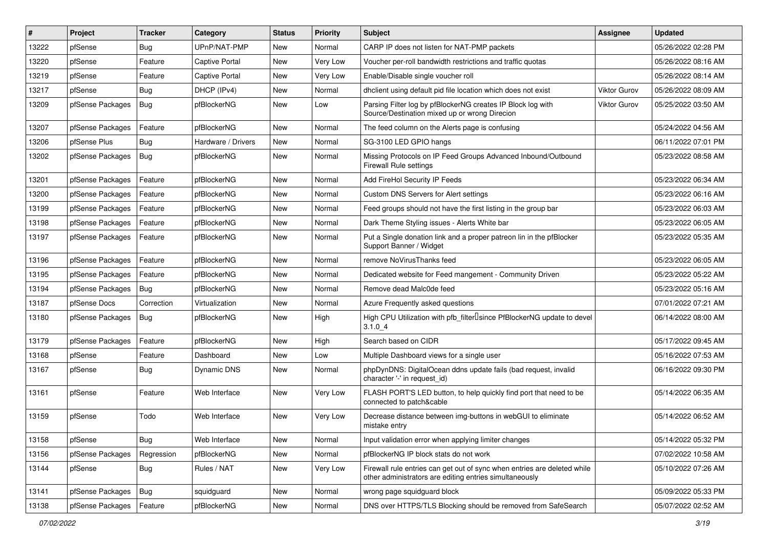| $\vert$ # | Project          | <b>Tracker</b> | Category              | <b>Status</b> | <b>Priority</b> | Subject                                                                                                                             | <b>Assignee</b>     | <b>Updated</b>      |
|-----------|------------------|----------------|-----------------------|---------------|-----------------|-------------------------------------------------------------------------------------------------------------------------------------|---------------------|---------------------|
| 13222     | pfSense          | Bug            | UPnP/NAT-PMP          | New           | Normal          | CARP IP does not listen for NAT-PMP packets                                                                                         |                     | 05/26/2022 02:28 PM |
| 13220     | pfSense          | Feature        | <b>Captive Portal</b> | New           | Very Low        | Voucher per-roll bandwidth restrictions and traffic quotas                                                                          |                     | 05/26/2022 08:16 AM |
| 13219     | pfSense          | Feature        | <b>Captive Portal</b> | New           | Very Low        | Enable/Disable single voucher roll                                                                                                  |                     | 05/26/2022 08:14 AM |
| 13217     | pfSense          | Bug            | DHCP (IPv4)           | New           | Normal          | dhclient using default pid file location which does not exist                                                                       | <b>Viktor Gurov</b> | 05/26/2022 08:09 AM |
| 13209     | pfSense Packages | Bug            | pfBlockerNG           | New           | Low             | Parsing Filter log by pfBlockerNG creates IP Block log with<br>Source/Destination mixed up or wrong Direcion                        | Viktor Gurov        | 05/25/2022 03:50 AM |
| 13207     | pfSense Packages | Feature        | pfBlockerNG           | New           | Normal          | The feed column on the Alerts page is confusing                                                                                     |                     | 05/24/2022 04:56 AM |
| 13206     | pfSense Plus     | Bug            | Hardware / Drivers    | New           | Normal          | SG-3100 LED GPIO hangs                                                                                                              |                     | 06/11/2022 07:01 PM |
| 13202     | pfSense Packages | Bug            | pfBlockerNG           | New           | Normal          | Missing Protocols on IP Feed Groups Advanced Inbound/Outbound<br>Firewall Rule settings                                             |                     | 05/23/2022 08:58 AM |
| 13201     | pfSense Packages | Feature        | pfBlockerNG           | New           | Normal          | Add FireHol Security IP Feeds                                                                                                       |                     | 05/23/2022 06:34 AM |
| 13200     | pfSense Packages | Feature        | pfBlockerNG           | New           | Normal          | <b>Custom DNS Servers for Alert settings</b>                                                                                        |                     | 05/23/2022 06:16 AM |
| 13199     | pfSense Packages | Feature        | pfBlockerNG           | New           | Normal          | Feed groups should not have the first listing in the group bar                                                                      |                     | 05/23/2022 06:03 AM |
| 13198     | pfSense Packages | Feature        | pfBlockerNG           | New           | Normal          | Dark Theme Styling issues - Alerts White bar                                                                                        |                     | 05/23/2022 06:05 AM |
| 13197     | pfSense Packages | Feature        | pfBlockerNG           | New           | Normal          | Put a Single donation link and a proper patreon lin in the pfBlocker<br>Support Banner / Widget                                     |                     | 05/23/2022 05:35 AM |
| 13196     | pfSense Packages | Feature        | pfBlockerNG           | New           | Normal          | remove NoVirusThanks feed                                                                                                           |                     | 05/23/2022 06:05 AM |
| 13195     | pfSense Packages | Feature        | pfBlockerNG           | New           | Normal          | Dedicated website for Feed mangement - Community Driven                                                                             |                     | 05/23/2022 05:22 AM |
| 13194     | pfSense Packages | Bug            | pfBlockerNG           | New           | Normal          | Remove dead Malc0de feed                                                                                                            |                     | 05/23/2022 05:16 AM |
| 13187     | pfSense Docs     | Correction     | Virtualization        | New           | Normal          | Azure Frequently asked questions                                                                                                    |                     | 07/01/2022 07:21 AM |
| 13180     | pfSense Packages | Bug            | pfBlockerNG           | New           | High            | High CPU Utilization with pfb_filter <sup>[]</sup> since PfBlockerNG update to devel<br>$3.1.0 - 4$                                 |                     | 06/14/2022 08:00 AM |
| 13179     | pfSense Packages | Feature        | pfBlockerNG           | New           | High            | Search based on CIDR                                                                                                                |                     | 05/17/2022 09:45 AM |
| 13168     | pfSense          | Feature        | Dashboard             | New           | Low             | Multiple Dashboard views for a single user                                                                                          |                     | 05/16/2022 07:53 AM |
| 13167     | pfSense          | Bug            | Dynamic DNS           | New           | Normal          | phpDynDNS: DigitalOcean ddns update fails (bad request, invalid<br>character '-' in request_id)                                     |                     | 06/16/2022 09:30 PM |
| 13161     | pfSense          | Feature        | Web Interface         | New           | Very Low        | FLASH PORT'S LED button, to help quickly find port that need to be<br>connected to patch&cable                                      |                     | 05/14/2022 06:35 AM |
| 13159     | pfSense          | Todo           | Web Interface         | New           | Very Low        | Decrease distance between img-buttons in webGUI to eliminate<br>mistake entry                                                       |                     | 05/14/2022 06:52 AM |
| 13158     | pfSense          | <b>Bug</b>     | Web Interface         | New           | Normal          | Input validation error when applying limiter changes                                                                                |                     | 05/14/2022 05:32 PM |
| 13156     | pfSense Packages | Regression     | pfBlockerNG           | New           | Normal          | pfBlockerNG IP block stats do not work                                                                                              |                     | 07/02/2022 10:58 AM |
| 13144     | pfSense          | <b>Bug</b>     | Rules / NAT           | New           | Very Low        | Firewall rule entries can get out of sync when entries are deleted while<br>other administrators are editing entries simultaneously |                     | 05/10/2022 07:26 AM |
| 13141     | pfSense Packages | Bug            | squidguard            | New           | Normal          | wrong page squidguard block                                                                                                         |                     | 05/09/2022 05:33 PM |
| 13138     | pfSense Packages | Feature        | pfBlockerNG           | New           | Normal          | DNS over HTTPS/TLS Blocking should be removed from SafeSearch                                                                       |                     | 05/07/2022 02:52 AM |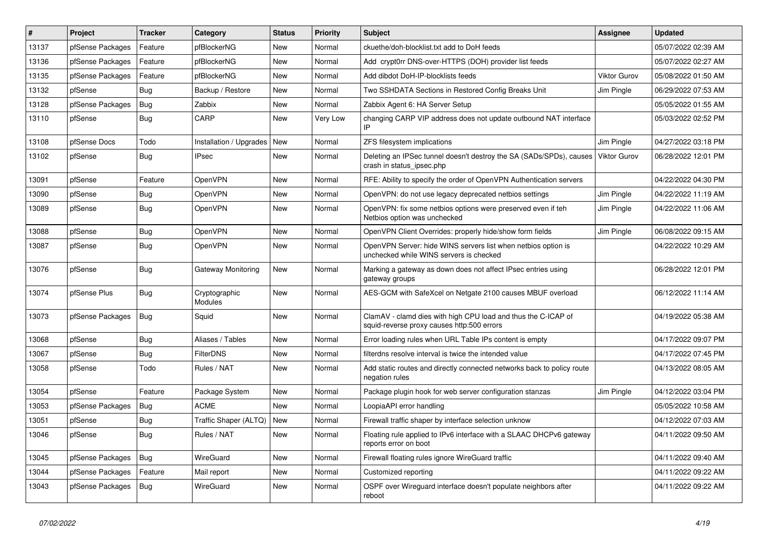| #     | Project          | <b>Tracker</b> | Category                        | <b>Status</b> | <b>Priority</b> | <b>Subject</b>                                                                                              | <b>Assignee</b>     | <b>Updated</b>      |
|-------|------------------|----------------|---------------------------------|---------------|-----------------|-------------------------------------------------------------------------------------------------------------|---------------------|---------------------|
| 13137 | pfSense Packages | Feature        | pfBlockerNG                     | New           | Normal          | ckuethe/doh-blocklist.txt add to DoH feeds                                                                  |                     | 05/07/2022 02:39 AM |
| 13136 | pfSense Packages | Feature        | pfBlockerNG                     | New           | Normal          | Add crypt0rr DNS-over-HTTPS (DOH) provider list feeds                                                       |                     | 05/07/2022 02:27 AM |
| 13135 | pfSense Packages | Feature        | pfBlockerNG                     | New           | Normal          | Add dibdot DoH-IP-blocklists feeds                                                                          | Viktor Gurov        | 05/08/2022 01:50 AM |
| 13132 | pfSense          | Bug            | Backup / Restore                | New           | Normal          | Two SSHDATA Sections in Restored Config Breaks Unit                                                         | Jim Pingle          | 06/29/2022 07:53 AM |
| 13128 | pfSense Packages | Bug            | Zabbix                          | New           | Normal          | Zabbix Agent 6: HA Server Setup                                                                             |                     | 05/05/2022 01:55 AM |
| 13110 | pfSense          | Bug            | CARP                            | New           | Very Low        | changing CARP VIP address does not update outbound NAT interface                                            |                     | 05/03/2022 02:52 PM |
| 13108 | pfSense Docs     | Todo           | Installation / Upgrades         | New           | Normal          | ZFS filesystem implications                                                                                 | Jim Pingle          | 04/27/2022 03:18 PM |
| 13102 | pfSense          | Bug            | IPsec                           | New           | Normal          | Deleting an IPSec tunnel doesn't destroy the SA (SADs/SPDs), causes<br>crash in status_ipsec.php            | <b>Viktor Gurov</b> | 06/28/2022 12:01 PM |
| 13091 | pfSense          | Feature        | <b>OpenVPN</b>                  | New           | Normal          | RFE: Ability to specify the order of OpenVPN Authentication servers                                         |                     | 04/22/2022 04:30 PM |
| 13090 | pfSense          | Bug            | OpenVPN                         | New           | Normal          | OpenVPN: do not use legacy deprecated netbios settings                                                      | Jim Pingle          | 04/22/2022 11:19 AM |
| 13089 | pfSense          | Bug            | OpenVPN                         | New           | Normal          | OpenVPN: fix some netbios options were preserved even if teh<br>Netbios option was unchecked                | Jim Pingle          | 04/22/2022 11:06 AM |
| 13088 | pfSense          | Bug            | OpenVPN                         | New           | Normal          | OpenVPN Client Overrides: properly hide/show form fields                                                    | Jim Pingle          | 06/08/2022 09:15 AM |
| 13087 | pfSense          | Bug            | OpenVPN                         | New           | Normal          | OpenVPN Server: hide WINS servers list when netbios option is<br>unchecked while WINS servers is checked    |                     | 04/22/2022 10:29 AM |
| 13076 | pfSense          | Bug            | Gateway Monitoring              | New           | Normal          | Marking a gateway as down does not affect IPsec entries using<br>gateway groups                             |                     | 06/28/2022 12:01 PM |
| 13074 | pfSense Plus     | Bug            | Cryptographic<br><b>Modules</b> | New           | Normal          | AES-GCM with SafeXcel on Netgate 2100 causes MBUF overload                                                  |                     | 06/12/2022 11:14 AM |
| 13073 | pfSense Packages | Bug            | Squid                           | New           | Normal          | ClamAV - clamd dies with high CPU load and thus the C-ICAP of<br>squid-reverse proxy causes http:500 errors |                     | 04/19/2022 05:38 AM |
| 13068 | pfSense          | Bug            | Aliases / Tables                | New           | Normal          | Error loading rules when URL Table IPs content is empty                                                     |                     | 04/17/2022 09:07 PM |
| 13067 | pfSense          | Bug            | <b>FilterDNS</b>                | New           | Normal          | filterdns resolve interval is twice the intended value                                                      |                     | 04/17/2022 07:45 PM |
| 13058 | pfSense          | Todo           | Rules / NAT                     | New           | Normal          | Add static routes and directly connected networks back to policy route<br>negation rules                    |                     | 04/13/2022 08:05 AM |
| 13054 | pfSense          | Feature        | Package System                  | New           | Normal          | Package plugin hook for web server configuration stanzas                                                    | Jim Pingle          | 04/12/2022 03:04 PM |
| 13053 | pfSense Packages | Bug            | <b>ACME</b>                     | New           | Normal          | LoopiaAPI error handling                                                                                    |                     | 05/05/2022 10:58 AM |
| 13051 | pfSense          | Bug            | Traffic Shaper (ALTQ)   New     |               | Normal          | Firewall traffic shaper by interface selection unknow                                                       |                     | 04/12/2022 07:03 AM |
| 13046 | pfSense          | <b>Bug</b>     | Rules / NAT                     | New           | Normal          | Floating rule applied to IPv6 interface with a SLAAC DHCPv6 gateway<br>reports error on boot                |                     | 04/11/2022 09:50 AM |
| 13045 | pfSense Packages | Bug            | WireGuard                       | New           | Normal          | Firewall floating rules ignore WireGuard traffic                                                            |                     | 04/11/2022 09:40 AM |
| 13044 | pfSense Packages | Feature        | Mail report                     | New           | Normal          | Customized reporting                                                                                        |                     | 04/11/2022 09:22 AM |
| 13043 | pfSense Packages | Bug            | WireGuard                       | New           | Normal          | OSPF over Wireguard interface doesn't populate neighbors after<br>reboot                                    |                     | 04/11/2022 09:22 AM |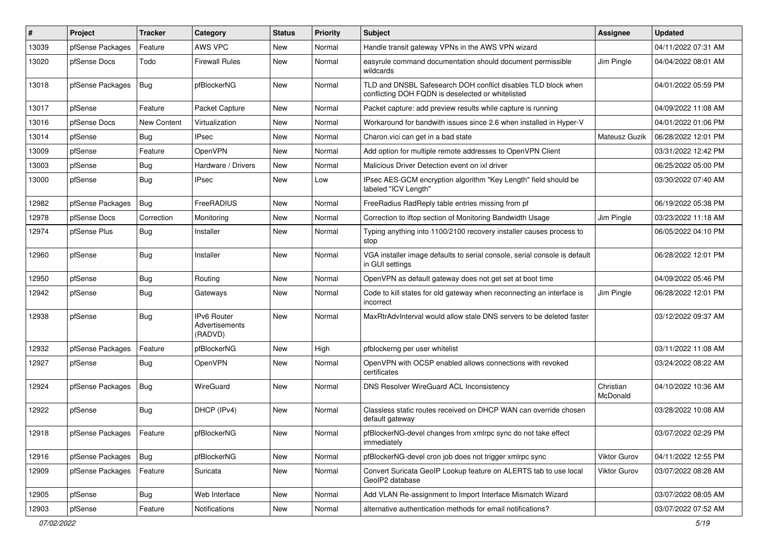| ∦     | Project                    | <b>Tracker</b> | Category                                 | <b>Status</b> | <b>Priority</b> | Subject                                                                                                            | Assignee              | <b>Updated</b>      |
|-------|----------------------------|----------------|------------------------------------------|---------------|-----------------|--------------------------------------------------------------------------------------------------------------------|-----------------------|---------------------|
| 13039 | pfSense Packages           | Feature        | AWS VPC                                  | New           | Normal          | Handle transit gateway VPNs in the AWS VPN wizard                                                                  |                       | 04/11/2022 07:31 AM |
| 13020 | pfSense Docs               | Todo           | <b>Firewall Rules</b>                    | New           | Normal          | easyrule command documentation should document permissible<br>wildcards                                            | Jim Pingle            | 04/04/2022 08:01 AM |
| 13018 | pfSense Packages           | Bug            | pfBlockerNG                              | New           | Normal          | TLD and DNSBL Safesearch DOH conflict disables TLD block when<br>conflicting DOH FQDN is deselected or whitelisted |                       | 04/01/2022 05:59 PM |
| 13017 | pfSense                    | Feature        | Packet Capture                           | New           | Normal          | Packet capture: add preview results while capture is running                                                       |                       | 04/09/2022 11:08 AM |
| 13016 | pfSense Docs               | New Content    | Virtualization                           | New           | Normal          | Workaround for bandwith issues since 2.6 when installed in Hyper-V                                                 |                       | 04/01/2022 01:06 PM |
| 13014 | pfSense                    | Bug            | <b>IPsec</b>                             | <b>New</b>    | Normal          | Charon.vici can get in a bad state                                                                                 | Mateusz Guzik         | 06/28/2022 12:01 PM |
| 13009 | pfSense                    | Feature        | OpenVPN                                  | New           | Normal          | Add option for multiple remote addresses to OpenVPN Client                                                         |                       | 03/31/2022 12:42 PM |
| 13003 | pfSense                    | Bug            | Hardware / Drivers                       | New           | Normal          | Malicious Driver Detection event on ixl driver                                                                     |                       | 06/25/2022 05:00 PM |
| 13000 | pfSense                    | Bug            | <b>IPsec</b>                             | New           | Low             | IPsec AES-GCM encryption algorithm "Key Length" field should be<br>labeled "ICV Length"                            |                       | 03/30/2022 07:40 AM |
| 12982 | pfSense Packages           | Bug            | FreeRADIUS                               | New           | Normal          | FreeRadius RadReply table entries missing from pf                                                                  |                       | 06/19/2022 05:38 PM |
| 12978 | pfSense Docs               | Correction     | Monitoring                               | New           | Normal          | Correction to iftop section of Monitoring Bandwidth Usage                                                          | Jim Pingle            | 03/23/2022 11:18 AM |
| 12974 | pfSense Plus               | Bug            | Installer                                | New           | Normal          | Typing anything into 1100/2100 recovery installer causes process to<br>stop                                        |                       | 06/05/2022 04:10 PM |
| 12960 | pfSense                    | Bug            | Installer                                | New           | Normal          | VGA installer image defaults to serial console, serial console is default<br>in GUI settings                       |                       | 06/28/2022 12:01 PM |
| 12950 | pfSense                    | Bug            | Routing                                  | <b>New</b>    | Normal          | OpenVPN as default gateway does not get set at boot time                                                           |                       | 04/09/2022 05:46 PM |
| 12942 | pfSense                    | Bug            | Gateways                                 | New           | Normal          | Code to kill states for old gateway when reconnecting an interface is<br>incorrect                                 | Jim Pingle            | 06/28/2022 12:01 PM |
| 12938 | pfSense                    | Bug            | IPv6 Router<br>Advertisements<br>(RADVD) | New           | Normal          | MaxRtrAdvInterval would allow stale DNS servers to be deleted faster                                               |                       | 03/12/2022 09:37 AM |
| 12932 | pfSense Packages           | Feature        | pfBlockerNG                              | New           | High            | pfblockerng per user whitelist                                                                                     |                       | 03/11/2022 11:08 AM |
| 12927 | pfSense                    | Bug            | OpenVPN                                  | New           | Normal          | OpenVPN with OCSP enabled allows connections with revoked<br>certificates                                          |                       | 03/24/2022 08:22 AM |
| 12924 | pfSense Packages           | Bug            | WireGuard                                | New           | Normal          | DNS Resolver WireGuard ACL Inconsistency                                                                           | Christian<br>McDonald | 04/10/2022 10:36 AM |
| 12922 | pfSense                    | Bug            | DHCP (IPv4)                              | <b>New</b>    | Normal          | Classless static routes received on DHCP WAN can override chosen<br>default gateway                                |                       | 03/28/2022 10:08 AM |
| 12918 | pfSense Packages   Feature |                | pfBlockerNG                              | New           | Normal          | pfBlockerNG-devel changes from xmlrpc sync do not take effect<br>immediately                                       |                       | 03/07/2022 02:29 PM |
| 12916 | pfSense Packages           | Bug            | pfBlockerNG                              | New           | Normal          | pfBlockerNG-devel cron job does not trigger xmlrpc sync                                                            | Viktor Gurov          | 04/11/2022 12:55 PM |
| 12909 | pfSense Packages           | Feature        | Suricata                                 | New           | Normal          | Convert Suricata GeoIP Lookup feature on ALERTS tab to use local<br>GeoIP2 database                                | Viktor Gurov          | 03/07/2022 08:28 AM |
| 12905 | pfSense                    | <b>Bug</b>     | Web Interface                            | New           | Normal          | Add VLAN Re-assignment to Import Interface Mismatch Wizard                                                         |                       | 03/07/2022 08:05 AM |
| 12903 | pfSense                    | Feature        | Notifications                            | New           | Normal          | alternative authentication methods for email notifications?                                                        |                       | 03/07/2022 07:52 AM |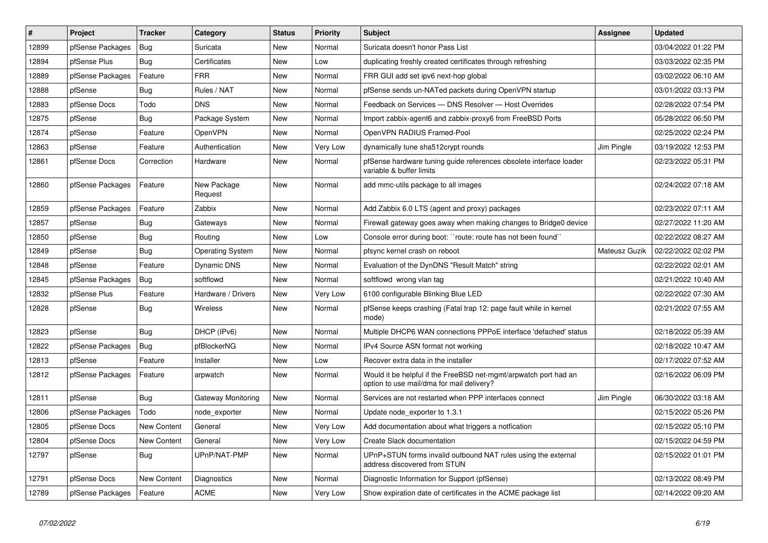| $\sharp$ | Project          | <b>Tracker</b>     | Category                | <b>Status</b> | <b>Priority</b> | <b>Subject</b>                                                                                                | <b>Assignee</b> | <b>Updated</b>      |
|----------|------------------|--------------------|-------------------------|---------------|-----------------|---------------------------------------------------------------------------------------------------------------|-----------------|---------------------|
| 12899    | pfSense Packages | <b>Bug</b>         | Suricata                | New           | Normal          | Suricata doesn't honor Pass List                                                                              |                 | 03/04/2022 01:22 PM |
| 12894    | pfSense Plus     | Bug                | Certificates            | New           | Low             | duplicating freshly created certificates through refreshing                                                   |                 | 03/03/2022 02:35 PM |
| 12889    | pfSense Packages | Feature            | <b>FRR</b>              | New           | Normal          | FRR GUI add set ipv6 next-hop global                                                                          |                 | 03/02/2022 06:10 AM |
| 12888    | pfSense          | <b>Bug</b>         | Rules / NAT             | New           | Normal          | pfSense sends un-NATed packets during OpenVPN startup                                                         |                 | 03/01/2022 03:13 PM |
| 12883    | pfSense Docs     | Todo               | <b>DNS</b>              | <b>New</b>    | Normal          | Feedback on Services - DNS Resolver - Host Overrides                                                          |                 | 02/28/2022 07:54 PM |
| 12875    | pfSense          | Bug                | Package System          | New           | Normal          | Import zabbix-agent6 and zabbix-proxy6 from FreeBSD Ports                                                     |                 | 05/28/2022 06:50 PM |
| 12874    | pfSense          | Feature            | OpenVPN                 | New           | Normal          | OpenVPN RADIUS Framed-Pool                                                                                    |                 | 02/25/2022 02:24 PM |
| 12863    | pfSense          | Feature            | Authentication          | New           | Very Low        | dynamically tune sha512crypt rounds                                                                           | Jim Pingle      | 03/19/2022 12:53 PM |
| 12861    | pfSense Docs     | Correction         | Hardware                | New           | Normal          | pfSense hardware tuning guide references obsolete interface loader<br>variable & buffer limits                |                 | 02/23/2022 05:31 PM |
| 12860    | pfSense Packages | Feature            | New Package<br>Request  | <b>New</b>    | Normal          | add mmc-utils package to all images                                                                           |                 | 02/24/2022 07:18 AM |
| 12859    | pfSense Packages | Feature            | Zabbix                  | <b>New</b>    | Normal          | Add Zabbix 6.0 LTS (agent and proxy) packages                                                                 |                 | 02/23/2022 07:11 AM |
| 12857    | pfSense          | Bug                | Gateways                | New           | Normal          | Firewall gateway goes away when making changes to Bridge0 device                                              |                 | 02/27/2022 11:20 AM |
| 12850    | pfSense          | Bug                | Routing                 | <b>New</b>    | Low             | Console error during boot: "route: route has not been found"                                                  |                 | 02/22/2022 08:27 AM |
| 12849    | pfSense          | <b>Bug</b>         | <b>Operating System</b> | New           | Normal          | pfsync kernel crash on reboot                                                                                 | Mateusz Guzik   | 02/22/2022 02:02 PM |
| 12848    | pfSense          | Feature            | <b>Dynamic DNS</b>      | New           | Normal          | Evaluation of the DynDNS "Result Match" string                                                                |                 | 02/22/2022 02:01 AM |
| 12845    | pfSense Packages | Bug                | softflowd               | New           | Normal          | softflowd wrong vlan tag                                                                                      |                 | 02/21/2022 10:40 AM |
| 12832    | pfSense Plus     | Feature            | Hardware / Drivers      | New           | Very Low        | 6100 configurable Blinking Blue LED                                                                           |                 | 02/22/2022 07:30 AM |
| 12828    | pfSense          | <b>Bug</b>         | Wireless                | New           | Normal          | pfSense keeps crashing (Fatal trap 12: page fault while in kernel<br>mode)                                    |                 | 02/21/2022 07:55 AM |
| 12823    | pfSense          | Bug                | DHCP (IPv6)             | New           | Normal          | Multiple DHCP6 WAN connections PPPoE interface 'defached' status                                              |                 | 02/18/2022 05:39 AM |
| 12822    | pfSense Packages | <b>Bug</b>         | pfBlockerNG             | <b>New</b>    | Normal          | IPv4 Source ASN format not working                                                                            |                 | 02/18/2022 10:47 AM |
| 12813    | pfSense          | Feature            | Installer               | <b>New</b>    | Low             | Recover extra data in the installer                                                                           |                 | 02/17/2022 07:52 AM |
| 12812    | pfSense Packages | Feature            | arpwatch                | New           | Normal          | Would it be helpful if the FreeBSD net-mgmt/arpwatch port had an<br>option to use mail/dma for mail delivery? |                 | 02/16/2022 06:09 PM |
| 12811    | pfSense          | Bug                | Gateway Monitoring      | New           | Normal          | Services are not restarted when PPP interfaces connect                                                        | Jim Pingle      | 06/30/2022 03:18 AM |
| 12806    | pfSense Packages | Todo               | node_exporter           | New           | Normal          | Update node_exporter to 1.3.1                                                                                 |                 | 02/15/2022 05:26 PM |
| 12805    | pfSense Docs     | New Content        | General                 | New           | Very Low        | Add documentation about what triggers a notfication                                                           |                 | 02/15/2022 05:10 PM |
| 12804    | pfSense Docs     | <b>New Content</b> | General                 | New           | Very Low        | Create Slack documentation                                                                                    |                 | 02/15/2022 04:59 PM |
| 12797    | pfSense          | <b>Bug</b>         | UPnP/NAT-PMP            | <b>New</b>    | Normal          | UPnP+STUN forms invalid outbound NAT rules using the external<br>address discovered from STUN                 |                 | 02/15/2022 01:01 PM |
| 12791    | pfSense Docs     | <b>New Content</b> | Diagnostics             | <b>New</b>    | Normal          | Diagnostic Information for Support (pfSense)                                                                  |                 | 02/13/2022 08:49 PM |
| 12789    | pfSense Packages | Feature            | <b>ACME</b>             | <b>New</b>    | Very Low        | Show expiration date of certificates in the ACME package list                                                 |                 | 02/14/2022 09:20 AM |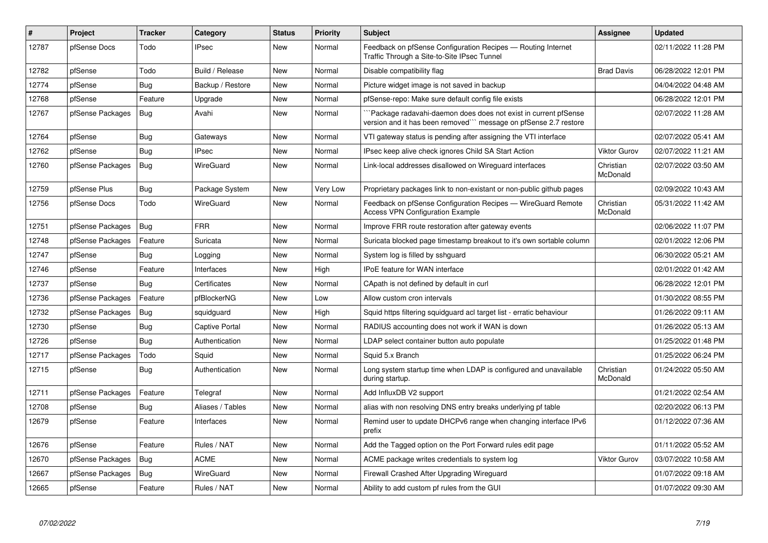| #     | <b>Project</b>   | <b>Tracker</b> | Category              | <b>Status</b> | <b>Priority</b> | <b>Subject</b>                                                                                                                    | <b>Assignee</b>       | <b>Updated</b>      |
|-------|------------------|----------------|-----------------------|---------------|-----------------|-----------------------------------------------------------------------------------------------------------------------------------|-----------------------|---------------------|
| 12787 | pfSense Docs     | Todo           | <b>IPsec</b>          | <b>New</b>    | Normal          | Feedback on pfSense Configuration Recipes - Routing Internet<br>Traffic Through a Site-to-Site IPsec Tunnel                       |                       | 02/11/2022 11:28 PM |
| 12782 | pfSense          | Todo           | Build / Release       | New           | Normal          | Disable compatibility flag                                                                                                        | <b>Brad Davis</b>     | 06/28/2022 12:01 PM |
| 12774 | pfSense          | Bug            | Backup / Restore      | New           | Normal          | Picture widget image is not saved in backup                                                                                       |                       | 04/04/2022 04:48 AM |
| 12768 | pfSense          | Feature        | Upgrade               | New           | Normal          | pfSense-repo: Make sure default config file exists                                                                                |                       | 06/28/2022 12:01 PM |
| 12767 | pfSense Packages | Bug            | Avahi                 | New           | Normal          | Package radavahi-daemon does does not exist in current pfSense<br>version and it has been removed" message on pfSense 2.7 restore |                       | 02/07/2022 11:28 AM |
| 12764 | pfSense          | Bug            | Gateways              | New           | Normal          | VTI gateway status is pending after assigning the VTI interface                                                                   |                       | 02/07/2022 05:41 AM |
| 12762 | pfSense          | <b>Bug</b>     | <b>IPsec</b>          | <b>New</b>    | Normal          | IPsec keep alive check ignores Child SA Start Action                                                                              | <b>Viktor Gurov</b>   | 02/07/2022 11:21 AM |
| 12760 | pfSense Packages | Bug            | WireGuard             | New           | Normal          | Link-local addresses disallowed on Wireguard interfaces                                                                           | Christian<br>McDonald | 02/07/2022 03:50 AM |
| 12759 | pfSense Plus     | <b>Bug</b>     | Package System        | New           | Very Low        | Proprietary packages link to non-existant or non-public github pages                                                              |                       | 02/09/2022 10:43 AM |
| 12756 | pfSense Docs     | Todo           | WireGuard             | <b>New</b>    | Normal          | Feedback on pfSense Configuration Recipes - WireGuard Remote<br><b>Access VPN Configuration Example</b>                           | Christian<br>McDonald | 05/31/2022 11:42 AM |
| 12751 | pfSense Packages | Bug            | <b>FRR</b>            | New           | Normal          | Improve FRR route restoration after gateway events                                                                                |                       | 02/06/2022 11:07 PM |
| 12748 | pfSense Packages | Feature        | Suricata              | New           | Normal          | Suricata blocked page timestamp breakout to it's own sortable column                                                              |                       | 02/01/2022 12:06 PM |
| 12747 | pfSense          | <b>Bug</b>     | Logging               | New           | Normal          | System log is filled by sshguard                                                                                                  |                       | 06/30/2022 05:21 AM |
| 12746 | pfSense          | Feature        | Interfaces            | New           | High            | <b>IPoE</b> feature for WAN interface                                                                                             |                       | 02/01/2022 01:42 AM |
| 12737 | pfSense          | <b>Bug</b>     | Certificates          | New           | Normal          | CApath is not defined by default in curl                                                                                          |                       | 06/28/2022 12:01 PM |
| 12736 | pfSense Packages | Feature        | pfBlockerNG           | New           | Low             | Allow custom cron intervals                                                                                                       |                       | 01/30/2022 08:55 PM |
| 12732 | pfSense Packages | Bug            | squidguard            | New           | High            | Squid https filtering squidguard acl target list - erratic behaviour                                                              |                       | 01/26/2022 09:11 AM |
| 12730 | pfSense          | <b>Bug</b>     | <b>Captive Portal</b> | New           | Normal          | RADIUS accounting does not work if WAN is down                                                                                    |                       | 01/26/2022 05:13 AM |
| 12726 | pfSense          | Bug            | Authentication        | New           | Normal          | LDAP select container button auto populate                                                                                        |                       | 01/25/2022 01:48 PM |
| 12717 | pfSense Packages | Todo           | Squid                 | New           | Normal          | Squid 5.x Branch                                                                                                                  |                       | 01/25/2022 06:24 PM |
| 12715 | pfSense          | <b>Bug</b>     | Authentication        | New           | Normal          | Long system startup time when LDAP is configured and unavailable<br>during startup.                                               | Christian<br>McDonald | 01/24/2022 05:50 AM |
| 12711 | pfSense Packages | Feature        | Telegraf              | New           | Normal          | Add InfluxDB V2 support                                                                                                           |                       | 01/21/2022 02:54 AM |
| 12708 | pfSense          | <b>Bug</b>     | Aliases / Tables      | New           | Normal          | alias with non resolving DNS entry breaks underlying pf table                                                                     |                       | 02/20/2022 06:13 PM |
| 12679 | pfSense          | Feature        | Interfaces            | New           | Normal          | Remind user to update DHCPv6 range when changing interface IPv6<br>prefix                                                         |                       | 01/12/2022 07:36 AM |
| 12676 | pfSense          | Feature        | Rules / NAT           | New           | Normal          | Add the Tagged option on the Port Forward rules edit page                                                                         |                       | 01/11/2022 05:52 AM |
| 12670 | pfSense Packages | <b>Bug</b>     | <b>ACME</b>           | New           | Normal          | ACME package writes credentials to system log                                                                                     | Viktor Gurov          | 03/07/2022 10:58 AM |
| 12667 | pfSense Packages | Bug            | WireGuard             | New           | Normal          | Firewall Crashed After Upgrading Wireguard                                                                                        |                       | 01/07/2022 09:18 AM |
| 12665 | pfSense          | Feature        | Rules / NAT           | New           | Normal          | Ability to add custom pf rules from the GUI                                                                                       |                       | 01/07/2022 09:30 AM |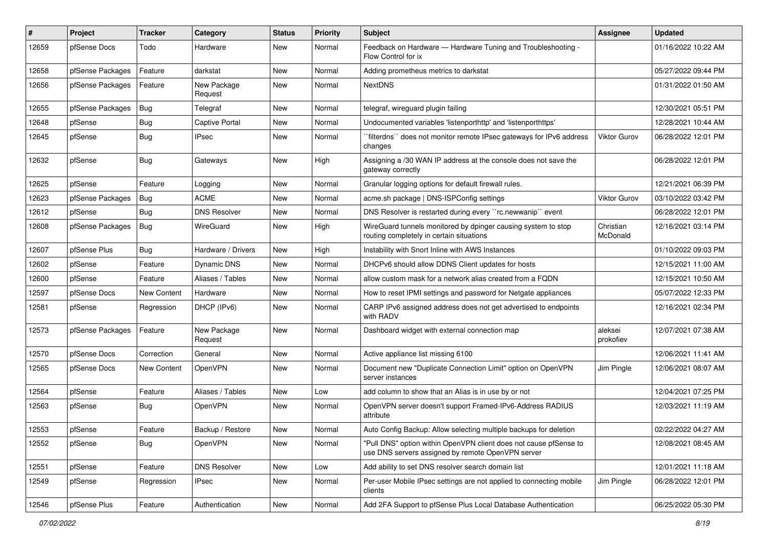| $\#$  | Project          | <b>Tracker</b>     | Category               | <b>Status</b> | <b>Priority</b> | <b>Subject</b>                                                                                                         | <b>Assignee</b>       | <b>Updated</b>      |
|-------|------------------|--------------------|------------------------|---------------|-----------------|------------------------------------------------------------------------------------------------------------------------|-----------------------|---------------------|
| 12659 | pfSense Docs     | Todo               | Hardware               | New           | Normal          | Feedback on Hardware - Hardware Tuning and Troubleshooting -<br>Flow Control for ix                                    |                       | 01/16/2022 10:22 AM |
| 12658 | pfSense Packages | Feature            | darkstat               | New           | Normal          | Adding prometheus metrics to darkstat                                                                                  |                       | 05/27/2022 09:44 PM |
| 12656 | pfSense Packages | Feature            | New Package<br>Request | New           | Normal          | <b>NextDNS</b>                                                                                                         |                       | 01/31/2022 01:50 AM |
| 12655 | pfSense Packages | <b>Bug</b>         | Telegraf               | New           | Normal          | telegraf, wireguard plugin failing                                                                                     |                       | 12/30/2021 05:51 PM |
| 12648 | pfSense          | Bug                | Captive Portal         | New           | Normal          | Undocumented variables 'listenporthttp' and 'listenporthttps'                                                          |                       | 12/28/2021 10:44 AM |
| 12645 | pfSense          | Bug                | IPsec                  | New           | Normal          | `filterdns`` does not monitor remote IPsec gateways for IPv6 address<br>changes                                        | <b>Viktor Gurov</b>   | 06/28/2022 12:01 PM |
| 12632 | pfSense          | Bug                | Gateways               | New           | High            | Assigning a /30 WAN IP address at the console does not save the<br>gateway correctly                                   |                       | 06/28/2022 12:01 PM |
| 12625 | pfSense          | Feature            | Logging                | <b>New</b>    | Normal          | Granular logging options for default firewall rules.                                                                   |                       | 12/21/2021 06:39 PM |
| 12623 | pfSense Packages | Bug                | <b>ACME</b>            | New           | Normal          | acme.sh package   DNS-ISPConfig settings                                                                               | <b>Viktor Gurov</b>   | 03/10/2022 03:42 PM |
| 12612 | pfSense          | Bug                | <b>DNS Resolver</b>    | New           | Normal          | DNS Resolver is restarted during every "rc.newwanip" event                                                             |                       | 06/28/2022 12:01 PM |
| 12608 | pfSense Packages | Bug                | WireGuard              | New           | High            | WireGuard tunnels monitored by dpinger causing system to stop<br>routing completely in certain situations              | Christian<br>McDonald | 12/16/2021 03:14 PM |
| 12607 | pfSense Plus     | Bug                | Hardware / Drivers     | New           | High            | Instability with Snort Inline with AWS Instances                                                                       |                       | 01/10/2022 09:03 PM |
| 12602 | pfSense          | Feature            | Dynamic DNS            | New           | Normal          | DHCPv6 should allow DDNS Client updates for hosts                                                                      |                       | 12/15/2021 11:00 AM |
| 12600 | pfSense          | Feature            | Aliases / Tables       | New           | Normal          | allow custom mask for a network alias created from a FQDN                                                              |                       | 12/15/2021 10:50 AM |
| 12597 | pfSense Docs     | New Content        | Hardware               | New           | Normal          | How to reset IPMI settings and password for Netgate appliances                                                         |                       | 05/07/2022 12:33 PM |
| 12581 | pfSense          | Regression         | DHCP (IPv6)            | New           | Normal          | CARP IPv6 assigned address does not get advertised to endpoints<br>with RADV                                           |                       | 12/16/2021 02:34 PM |
| 12573 | pfSense Packages | Feature            | New Package<br>Request | New           | Normal          | Dashboard widget with external connection map                                                                          | aleksei<br>prokofiev  | 12/07/2021 07:38 AM |
| 12570 | pfSense Docs     | Correction         | General                | New           | Normal          | Active appliance list missing 6100                                                                                     |                       | 12/06/2021 11:41 AM |
| 12565 | pfSense Docs     | <b>New Content</b> | OpenVPN                | New           | Normal          | Document new "Duplicate Connection Limit" option on OpenVPN<br>server instances                                        | Jim Pingle            | 12/06/2021 08:07 AM |
| 12564 | pfSense          | Feature            | Aliases / Tables       | <b>New</b>    | Low             | add column to show that an Alias is in use by or not                                                                   |                       | 12/04/2021 07:25 PM |
| 12563 | pfSense          | <b>Bug</b>         | OpenVPN                | New           | Normal          | OpenVPN server doesn't support Framed-IPv6-Address RADIUS<br>attribute                                                 |                       | 12/03/2021 11:19 AM |
| 12553 | pfSense          | Feature            | Backup / Restore       | New           | Normal          | Auto Config Backup: Allow selecting multiple backups for deletion                                                      |                       | 02/22/2022 04:27 AM |
| 12552 | pfSense          | Bug                | OpenVPN                | New           | Normal          | "Pull DNS" option within OpenVPN client does not cause pfSense to<br>use DNS servers assigned by remote OpenVPN server |                       | 12/08/2021 08:45 AM |
| 12551 | pfSense          | Feature            | <b>DNS Resolver</b>    | New           | Low             | Add ability to set DNS resolver search domain list                                                                     |                       | 12/01/2021 11:18 AM |
| 12549 | pfSense          | Regression         | <b>IPsec</b>           | New           | Normal          | Per-user Mobile IPsec settings are not applied to connecting mobile<br>clients                                         | Jim Pingle            | 06/28/2022 12:01 PM |
| 12546 | pfSense Plus     | Feature            | Authentication         | New           | Normal          | Add 2FA Support to pfSense Plus Local Database Authentication                                                          |                       | 06/25/2022 05:30 PM |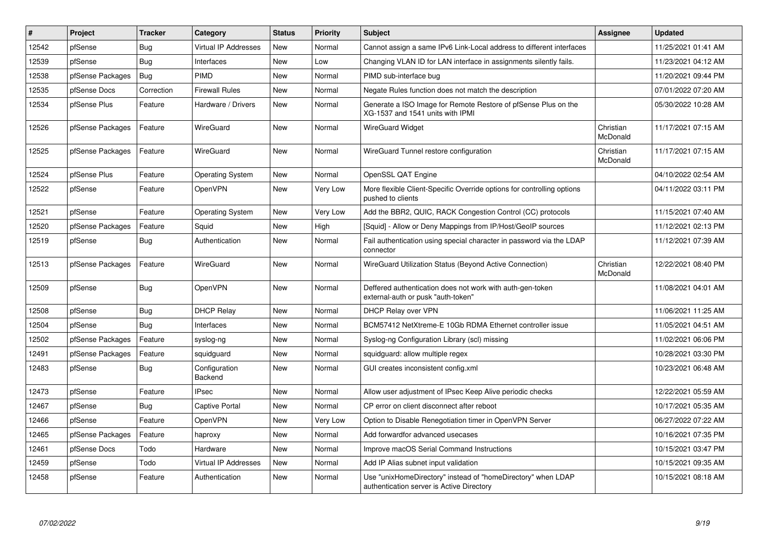| $\sharp$ | Project          | <b>Tracker</b> | Category                    | <b>Status</b> | <b>Priority</b> | <b>Subject</b>                                                                                            | <b>Assignee</b>       | <b>Updated</b>      |
|----------|------------------|----------------|-----------------------------|---------------|-----------------|-----------------------------------------------------------------------------------------------------------|-----------------------|---------------------|
| 12542    | pfSense          | <b>Bug</b>     | <b>Virtual IP Addresses</b> | <b>New</b>    | Normal          | Cannot assign a same IPv6 Link-Local address to different interfaces                                      |                       | 11/25/2021 01:41 AM |
| 12539    | pfSense          | Bug            | Interfaces                  | New           | Low             | Changing VLAN ID for LAN interface in assignments silently fails.                                         |                       | 11/23/2021 04:12 AM |
| 12538    | pfSense Packages | Bug            | <b>PIMD</b>                 | New           | Normal          | PIMD sub-interface bug                                                                                    |                       | 11/20/2021 09:44 PM |
| 12535    | pfSense Docs     | Correction     | <b>Firewall Rules</b>       | New           | Normal          | Negate Rules function does not match the description                                                      |                       | 07/01/2022 07:20 AM |
| 12534    | pfSense Plus     | Feature        | Hardware / Drivers          | New           | Normal          | Generate a ISO Image for Remote Restore of pfSense Plus on the<br>XG-1537 and 1541 units with IPMI        |                       | 05/30/2022 10:28 AM |
| 12526    | pfSense Packages | Feature        | WireGuard                   | New           | Normal          | <b>WireGuard Widget</b>                                                                                   | Christian<br>McDonald | 11/17/2021 07:15 AM |
| 12525    | pfSense Packages | Feature        | WireGuard                   | New           | Normal          | WireGuard Tunnel restore configuration                                                                    | Christian<br>McDonald | 11/17/2021 07:15 AM |
| 12524    | pfSense Plus     | Feature        | <b>Operating System</b>     | New           | Normal          | OpenSSL QAT Engine                                                                                        |                       | 04/10/2022 02:54 AM |
| 12522    | pfSense          | Feature        | <b>OpenVPN</b>              | New           | Very Low        | More flexible Client-Specific Override options for controlling options<br>pushed to clients               |                       | 04/11/2022 03:11 PM |
| 12521    | pfSense          | Feature        | <b>Operating System</b>     | New           | Very Low        | Add the BBR2, QUIC, RACK Congestion Control (CC) protocols                                                |                       | 11/15/2021 07:40 AM |
| 12520    | pfSense Packages | Feature        | Squid                       | New           | High            | [Squid] - Allow or Deny Mappings from IP/Host/GeoIP sources                                               |                       | 11/12/2021 02:13 PM |
| 12519    | pfSense          | <b>Bug</b>     | Authentication              | New           | Normal          | Fail authentication using special character in password via the LDAP<br>connector                         |                       | 11/12/2021 07:39 AM |
| 12513    | pfSense Packages | Feature        | WireGuard                   | New           | Normal          | WireGuard Utilization Status (Beyond Active Connection)                                                   | Christian<br>McDonald | 12/22/2021 08:40 PM |
| 12509    | pfSense          | Bug            | OpenVPN                     | New           | Normal          | Deffered authentication does not work with auth-gen-token<br>external-auth or pusk "auth-token"           |                       | 11/08/2021 04:01 AM |
| 12508    | pfSense          | <b>Bug</b>     | <b>DHCP Relay</b>           | New           | Normal          | DHCP Relay over VPN                                                                                       |                       | 11/06/2021 11:25 AM |
| 12504    | pfSense          | Bug            | Interfaces                  | New           | Normal          | BCM57412 NetXtreme-E 10Gb RDMA Ethernet controller issue                                                  |                       | 11/05/2021 04:51 AM |
| 12502    | pfSense Packages | Feature        | syslog-ng                   | New           | Normal          | Syslog-ng Configuration Library (scl) missing                                                             |                       | 11/02/2021 06:06 PM |
| 12491    | pfSense Packages | Feature        | squidguard                  | <b>New</b>    | Normal          | squidguard: allow multiple regex                                                                          |                       | 10/28/2021 03:30 PM |
| 12483    | pfSense          | Bug            | Configuration<br>Backend    | New           | Normal          | GUI creates inconsistent config.xml                                                                       |                       | 10/23/2021 06:48 AM |
| 12473    | pfSense          | Feature        | <b>IPsec</b>                | <b>New</b>    | Normal          | Allow user adjustment of IPsec Keep Alive periodic checks                                                 |                       | 12/22/2021 05:59 AM |
| 12467    | pfSense          | Bug            | <b>Captive Portal</b>       | New           | Normal          | CP error on client disconnect after reboot                                                                |                       | 10/17/2021 05:35 AM |
| 12466    | pfSense          | Feature        | OpenVPN                     | New           | Very Low        | Option to Disable Renegotiation timer in OpenVPN Server                                                   |                       | 06/27/2022 07:22 AM |
| 12465    | pfSense Packages | Feature        | haproxy                     | New           | Normal          | Add forwardfor advanced usecases                                                                          |                       | 10/16/2021 07:35 PM |
| 12461    | pfSense Docs     | Todo           | Hardware                    | New           | Normal          | Improve macOS Serial Command Instructions                                                                 |                       | 10/15/2021 03:47 PM |
| 12459    | pfSense          | Todo           | Virtual IP Addresses        | New           | Normal          | Add IP Alias subnet input validation                                                                      |                       | 10/15/2021 09:35 AM |
| 12458    | pfSense          | Feature        | Authentication              | New           | Normal          | Use "unixHomeDirectory" instead of "homeDirectory" when LDAP<br>authentication server is Active Directory |                       | 10/15/2021 08:18 AM |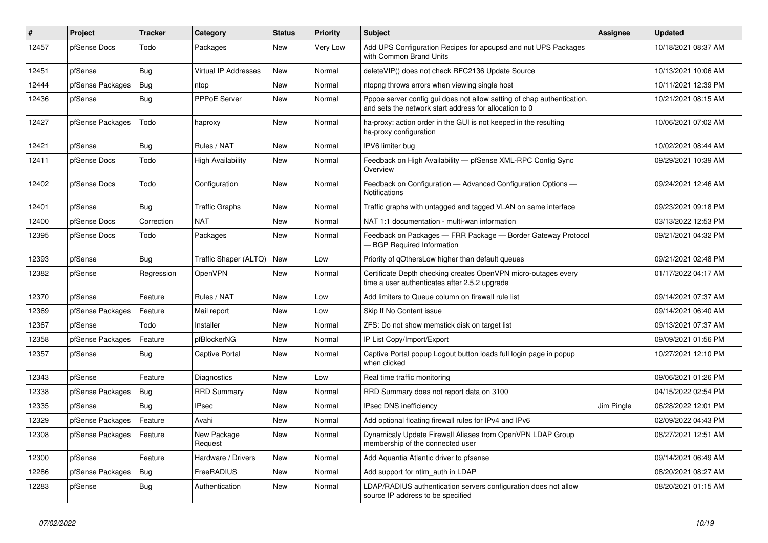| $\vert$ # | Project          | <b>Tracker</b> | Category                 | <b>Status</b> | <b>Priority</b> | <b>Subject</b>                                                                                                                   | <b>Assignee</b> | <b>Updated</b>      |
|-----------|------------------|----------------|--------------------------|---------------|-----------------|----------------------------------------------------------------------------------------------------------------------------------|-----------------|---------------------|
| 12457     | pfSense Docs     | Todo           | Packages                 | <b>New</b>    | Very Low        | Add UPS Configuration Recipes for apcupsd and nut UPS Packages<br>with Common Brand Units                                        |                 | 10/18/2021 08:37 AM |
| 12451     | pfSense          | Bug            | Virtual IP Addresses     | New           | Normal          | deleteVIP() does not check RFC2136 Update Source                                                                                 |                 | 10/13/2021 10:06 AM |
| 12444     | pfSense Packages | <b>Bug</b>     | ntop                     | New           | Normal          | ntopng throws errors when viewing single host                                                                                    |                 | 10/11/2021 12:39 PM |
| 12436     | pfSense          | Bug            | <b>PPPoE Server</b>      | New           | Normal          | Pppoe server config gui does not allow setting of chap authentication,<br>and sets the network start address for allocation to 0 |                 | 10/21/2021 08:15 AM |
| 12427     | pfSense Packages | Todo           | haproxy                  | New           | Normal          | ha-proxy: action order in the GUI is not keeped in the resulting<br>ha-proxy configuration                                       |                 | 10/06/2021 07:02 AM |
| 12421     | pfSense          | <b>Bug</b>     | Rules / NAT              | New           | Normal          | IPV6 limiter bug                                                                                                                 |                 | 10/02/2021 08:44 AM |
| 12411     | pfSense Docs     | Todo           | <b>High Availability</b> | <b>New</b>    | Normal          | Feedback on High Availability - pfSense XML-RPC Config Sync<br>Overview                                                          |                 | 09/29/2021 10:39 AM |
| 12402     | pfSense Docs     | Todo           | Configuration            | New           | Normal          | Feedback on Configuration - Advanced Configuration Options -<br><b>Notifications</b>                                             |                 | 09/24/2021 12:46 AM |
| 12401     | pfSense          | Bug            | <b>Traffic Graphs</b>    | New           | Normal          | Traffic graphs with untagged and tagged VLAN on same interface                                                                   |                 | 09/23/2021 09:18 PM |
| 12400     | pfSense Docs     | Correction     | <b>NAT</b>               | <b>New</b>    | Normal          | NAT 1:1 documentation - multi-wan information                                                                                    |                 | 03/13/2022 12:53 PM |
| 12395     | pfSense Docs     | Todo           | Packages                 | <b>New</b>    | Normal          | Feedback on Packages - FRR Package - Border Gateway Protocol<br>- BGP Required Information                                       |                 | 09/21/2021 04:32 PM |
| 12393     | pfSense          | <b>Bug</b>     | Traffic Shaper (ALTQ)    | New           | Low             | Priority of gOthersLow higher than default queues                                                                                |                 | 09/21/2021 02:48 PM |
| 12382     | pfSense          | Regression     | OpenVPN                  | <b>New</b>    | Normal          | Certificate Depth checking creates OpenVPN micro-outages every<br>time a user authenticates after 2.5.2 upgrade                  |                 | 01/17/2022 04:17 AM |
| 12370     | pfSense          | Feature        | Rules / NAT              | New           | Low             | Add limiters to Queue column on firewall rule list                                                                               |                 | 09/14/2021 07:37 AM |
| 12369     | pfSense Packages | Feature        | Mail report              | New           | Low             | Skip If No Content issue                                                                                                         |                 | 09/14/2021 06:40 AM |
| 12367     | pfSense          | Todo           | Installer                | New           | Normal          | ZFS: Do not show memstick disk on target list                                                                                    |                 | 09/13/2021 07:37 AM |
| 12358     | pfSense Packages | Feature        | pfBlockerNG              | <b>New</b>    | Normal          | IP List Copy/Import/Export                                                                                                       |                 | 09/09/2021 01:56 PM |
| 12357     | pfSense          | Bug            | <b>Captive Portal</b>    | New           | Normal          | Captive Portal popup Logout button loads full login page in popup<br>when clicked                                                |                 | 10/27/2021 12:10 PM |
| 12343     | pfSense          | Feature        | Diagnostics              | <b>New</b>    | Low             | Real time traffic monitoring                                                                                                     |                 | 09/06/2021 01:26 PM |
| 12338     | pfSense Packages | Bug            | <b>RRD Summary</b>       | New           | Normal          | RRD Summary does not report data on 3100                                                                                         |                 | 04/15/2022 02:54 PM |
| 12335     | pfSense          | <b>Bug</b>     | <b>IPsec</b>             | New           | Normal          | <b>IPsec DNS inefficiency</b>                                                                                                    | Jim Pingle      | 06/28/2022 12:01 PM |
| 12329     | pfSense Packages | Feature        | Avahi                    | New           | Normal          | Add optional floating firewall rules for IPv4 and IPv6                                                                           |                 | 02/09/2022 04:43 PM |
| 12308     | pfSense Packages | Feature        | New Package<br>Request   | New           | Normal          | Dynamicaly Update Firewall Aliases from OpenVPN LDAP Group<br>membership of the connected user                                   |                 | 08/27/2021 12:51 AM |
| 12300     | pfSense          | Feature        | Hardware / Drivers       | <b>New</b>    | Normal          | Add Aquantia Atlantic driver to pfsense                                                                                          |                 | 09/14/2021 06:49 AM |
| 12286     | pfSense Packages | Bug            | FreeRADIUS               | New           | Normal          | Add support for ntlm_auth in LDAP                                                                                                |                 | 08/20/2021 08:27 AM |
| 12283     | pfSense          | <b>Bug</b>     | Authentication           | New           | Normal          | LDAP/RADIUS authentication servers configuration does not allow<br>source IP address to be specified                             |                 | 08/20/2021 01:15 AM |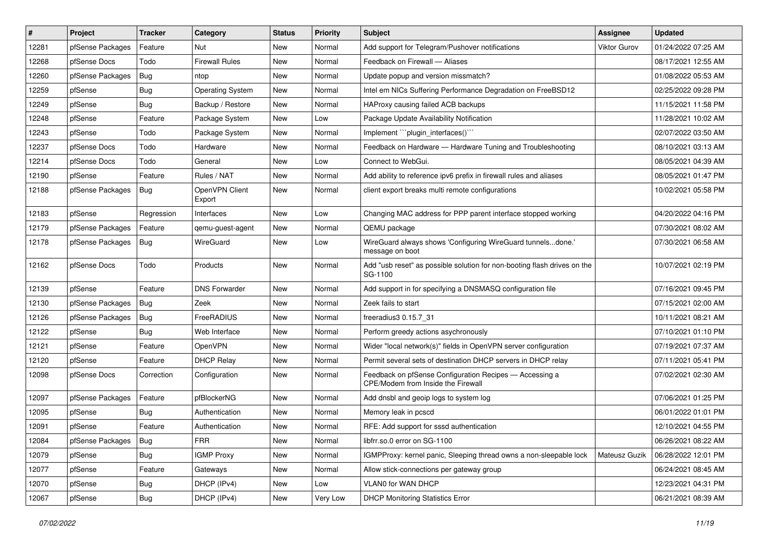| $\vert$ # | Project          | <b>Tracker</b> | Category                 | <b>Status</b> | <b>Priority</b> | Subject                                                                                       | <b>Assignee</b> | <b>Updated</b>      |
|-----------|------------------|----------------|--------------------------|---------------|-----------------|-----------------------------------------------------------------------------------------------|-----------------|---------------------|
| 12281     | pfSense Packages | Feature        | Nut                      | New           | Normal          | Add support for Telegram/Pushover notifications                                               | Viktor Gurov    | 01/24/2022 07:25 AM |
| 12268     | pfSense Docs     | Todo           | <b>Firewall Rules</b>    | New           | Normal          | Feedback on Firewall - Aliases                                                                |                 | 08/17/2021 12:55 AM |
| 12260     | pfSense Packages | Bug            | ntop                     | New           | Normal          | Update popup and version missmatch?                                                           |                 | 01/08/2022 05:53 AM |
| 12259     | pfSense          | Bug            | <b>Operating System</b>  | New           | Normal          | Intel em NICs Suffering Performance Degradation on FreeBSD12                                  |                 | 02/25/2022 09:28 PM |
| 12249     | pfSense          | Bug            | Backup / Restore         | New           | Normal          | HAProxy causing failed ACB backups                                                            |                 | 11/15/2021 11:58 PM |
| 12248     | pfSense          | Feature        | Package System           | New           | Low             | Package Update Availability Notification                                                      |                 | 11/28/2021 10:02 AM |
| 12243     | pfSense          | Todo           | Package System           | New           | Normal          | Implement "plugin interfaces()"                                                               |                 | 02/07/2022 03:50 AM |
| 12237     | pfSense Docs     | Todo           | Hardware                 | New           | Normal          | Feedback on Hardware - Hardware Tuning and Troubleshooting                                    |                 | 08/10/2021 03:13 AM |
| 12214     | pfSense Docs     | Todo           | General                  | New           | Low             | Connect to WebGui.                                                                            |                 | 08/05/2021 04:39 AM |
| 12190     | pfSense          | Feature        | Rules / NAT              | New           | Normal          | Add ability to reference ipv6 prefix in firewall rules and aliases                            |                 | 08/05/2021 01:47 PM |
| 12188     | pfSense Packages | Bug            | OpenVPN Client<br>Export | New           | Normal          | client export breaks multi remote configurations                                              |                 | 10/02/2021 05:58 PM |
| 12183     | pfSense          | Regression     | Interfaces               | <b>New</b>    | Low             | Changing MAC address for PPP parent interface stopped working                                 |                 | 04/20/2022 04:16 PM |
| 12179     | pfSense Packages | Feature        | gemu-guest-agent         | New           | Normal          | QEMU package                                                                                  |                 | 07/30/2021 08:02 AM |
| 12178     | pfSense Packages | Bug            | WireGuard                | New           | Low             | WireGuard always shows 'Configuring WireGuard tunnelsdone.'<br>message on boot                |                 | 07/30/2021 06:58 AM |
| 12162     | pfSense Docs     | Todo           | Products                 | New           | Normal          | Add "usb reset" as possible solution for non-booting flash drives on the<br>SG-1100           |                 | 10/07/2021 02:19 PM |
| 12139     | pfSense          | Feature        | <b>DNS Forwarder</b>     | New           | Normal          | Add support in for specifying a DNSMASQ configuration file                                    |                 | 07/16/2021 09:45 PM |
| 12130     | pfSense Packages | Bug            | Zeek                     | New           | Normal          | Zeek fails to start                                                                           |                 | 07/15/2021 02:00 AM |
| 12126     | pfSense Packages | Bug            | FreeRADIUS               | New           | Normal          | freeradius3 0.15.7 31                                                                         |                 | 10/11/2021 08:21 AM |
| 12122     | pfSense          | <b>Bug</b>     | Web Interface            | New           | Normal          | Perform greedy actions asychronously                                                          |                 | 07/10/2021 01:10 PM |
| 12121     | pfSense          | Feature        | OpenVPN                  | New           | Normal          | Wider "local network(s)" fields in OpenVPN server configuration                               |                 | 07/19/2021 07:37 AM |
| 12120     | pfSense          | Feature        | <b>DHCP Relay</b>        | New           | Normal          | Permit several sets of destination DHCP servers in DHCP relay                                 |                 | 07/11/2021 05:41 PM |
| 12098     | pfSense Docs     | Correction     | Configuration            | New           | Normal          | Feedback on pfSense Configuration Recipes - Accessing a<br>CPE/Modem from Inside the Firewall |                 | 07/02/2021 02:30 AM |
| 12097     | pfSense Packages | Feature        | pfBlockerNG              | New           | Normal          | Add dnsbl and geoip logs to system log                                                        |                 | 07/06/2021 01:25 PM |
| 12095     | pfSense          | Bug            | Authentication           | New           | Normal          | Memory leak in pcscd                                                                          |                 | 06/01/2022 01:01 PM |
| 12091     | pfSense          | Feature        | Authentication           | New           | Normal          | RFE: Add support for sssd authentication                                                      |                 | 12/10/2021 04:55 PM |
| 12084     | pfSense Packages | Bug            | <b>FRR</b>               | New           | Normal          | libfrr.so.0 error on SG-1100                                                                  |                 | 06/26/2021 08:22 AM |
| 12079     | pfSense          | <b>Bug</b>     | <b>IGMP Proxy</b>        | New           | Normal          | IGMPProxy: kernel panic, Sleeping thread owns a non-sleepable lock                            | Mateusz Guzik   | 06/28/2022 12:01 PM |
| 12077     | pfSense          | Feature        | Gateways                 | New           | Normal          | Allow stick-connections per gateway group                                                     |                 | 06/24/2021 08:45 AM |
| 12070     | pfSense          | <b>Bug</b>     | DHCP (IPv4)              | New           | Low             | VLAN0 for WAN DHCP                                                                            |                 | 12/23/2021 04:31 PM |
| 12067     | pfSense          | <b>Bug</b>     | DHCP (IPv4)              | New           | Very Low        | <b>DHCP Monitoring Statistics Error</b>                                                       |                 | 06/21/2021 08:39 AM |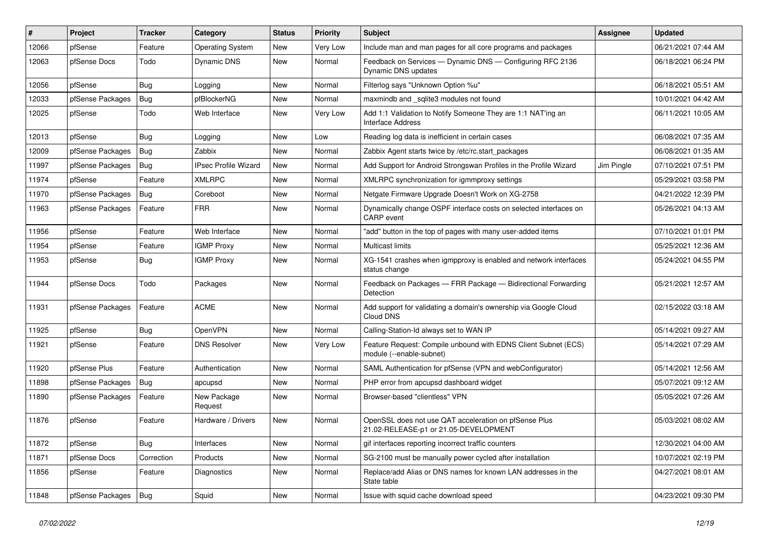| #     | Project          | <b>Tracker</b> | Category                | <b>Status</b> | <b>Priority</b> | <b>Subject</b>                                                                                 | <b>Assignee</b> | <b>Updated</b>      |
|-------|------------------|----------------|-------------------------|---------------|-----------------|------------------------------------------------------------------------------------------------|-----------------|---------------------|
| 12066 | pfSense          | Feature        | <b>Operating System</b> | New           | Very Low        | Include man and man pages for all core programs and packages                                   |                 | 06/21/2021 07:44 AM |
| 12063 | pfSense Docs     | Todo           | Dynamic DNS             | New           | Normal          | Feedback on Services - Dynamic DNS - Configuring RFC 2136<br>Dynamic DNS updates               |                 | 06/18/2021 06:24 PM |
| 12056 | pfSense          | <b>Bug</b>     | Logging                 | New           | Normal          | Filterlog says "Unknown Option %u"                                                             |                 | 06/18/2021 05:51 AM |
| 12033 | pfSense Packages | Bug            | pfBlockerNG             | New           | Normal          | maxmindb and _sqlite3 modules not found                                                        |                 | 10/01/2021 04:42 AM |
| 12025 | pfSense          | Todo           | Web Interface           | New           | Very Low        | Add 1:1 Validation to Notify Someone They are 1:1 NAT'ing an<br><b>Interface Address</b>       |                 | 06/11/2021 10:05 AM |
| 12013 | pfSense          | <b>Bug</b>     | Logging                 | New           | Low             | Reading log data is inefficient in certain cases                                               |                 | 06/08/2021 07:35 AM |
| 12009 | pfSense Packages | Bug            | Zabbix                  | New           | Normal          | Zabbix Agent starts twice by /etc/rc.start packages                                            |                 | 06/08/2021 01:35 AM |
| 11997 | pfSense Packages | Bug            | IPsec Profile Wizard    | New           | Normal          | Add Support for Android Strongswan Profiles in the Profile Wizard                              | Jim Pingle      | 07/10/2021 07:51 PM |
| 11974 | pfSense          | Feature        | <b>XMLRPC</b>           | New           | Normal          | XMLRPC synchronization for igmmproxy settings                                                  |                 | 05/29/2021 03:58 PM |
| 11970 | pfSense Packages | Bug            | Coreboot                | New           | Normal          | Netgate Firmware Upgrade Doesn't Work on XG-2758                                               |                 | 04/21/2022 12:39 PM |
| 11963 | pfSense Packages | Feature        | <b>FRR</b>              | New           | Normal          | Dynamically change OSPF interface costs on selected interfaces on<br><b>CARP</b> event         |                 | 05/26/2021 04:13 AM |
| 11956 | pfSense          | Feature        | Web Interface           | New           | Normal          | "add" button in the top of pages with many user-added items                                    |                 | 07/10/2021 01:01 PM |
| 11954 | pfSense          | Feature        | <b>IGMP Proxy</b>       | New           | Normal          | <b>Multicast limits</b>                                                                        |                 | 05/25/2021 12:36 AM |
| 11953 | pfSense          | Bug            | <b>IGMP Proxy</b>       | New           | Normal          | XG-1541 crashes when igmpproxy is enabled and network interfaces<br>status change              |                 | 05/24/2021 04:55 PM |
| 11944 | pfSense Docs     | Todo           | Packages                | New           | Normal          | Feedback on Packages - FRR Package - Bidirectional Forwarding<br>Detection                     |                 | 05/21/2021 12:57 AM |
| 11931 | pfSense Packages | Feature        | <b>ACME</b>             | New           | Normal          | Add support for validating a domain's ownership via Google Cloud<br>Cloud DNS                  |                 | 02/15/2022 03:18 AM |
| 11925 | pfSense          | Bug            | OpenVPN                 | New           | Normal          | Calling-Station-Id always set to WAN IP                                                        |                 | 05/14/2021 09:27 AM |
| 11921 | pfSense          | Feature        | <b>DNS Resolver</b>     | New           | Very Low        | Feature Request: Compile unbound with EDNS Client Subnet (ECS)<br>module (--enable-subnet)     |                 | 05/14/2021 07:29 AM |
| 11920 | pfSense Plus     | Feature        | Authentication          | New           | Normal          | SAML Authentication for pfSense (VPN and webConfigurator)                                      |                 | 05/14/2021 12:56 AM |
| 11898 | pfSense Packages | Bug            | apcupsd                 | New           | Normal          | PHP error from apcupsd dashboard widget                                                        |                 | 05/07/2021 09:12 AM |
| 11890 | pfSense Packages | Feature        | New Package<br>Request  | New           | Normal          | Browser-based "clientless" VPN                                                                 |                 | 05/05/2021 07:26 AM |
| 11876 | pfSense          | Feature        | Hardware / Drivers      | New           | Normal          | OpenSSL does not use QAT acceleration on pfSense Plus<br>21.02-RELEASE-p1 or 21.05-DEVELOPMENT |                 | 05/03/2021 08:02 AM |
| 11872 | pfSense          | Bug            | Interfaces              | New           | Normal          | gif interfaces reporting incorrect traffic counters                                            |                 | 12/30/2021 04:00 AM |
| 11871 | pfSense Docs     | Correction     | Products                | New           | Normal          | SG-2100 must be manually power cycled after installation                                       |                 | 10/07/2021 02:19 PM |
| 11856 | pfSense          | Feature        | Diagnostics             | New           | Normal          | Replace/add Alias or DNS names for known LAN addresses in the<br>State table                   |                 | 04/27/2021 08:01 AM |
| 11848 | pfSense Packages | Bug            | Squid                   | New           | Normal          | Issue with squid cache download speed                                                          |                 | 04/23/2021 09:30 PM |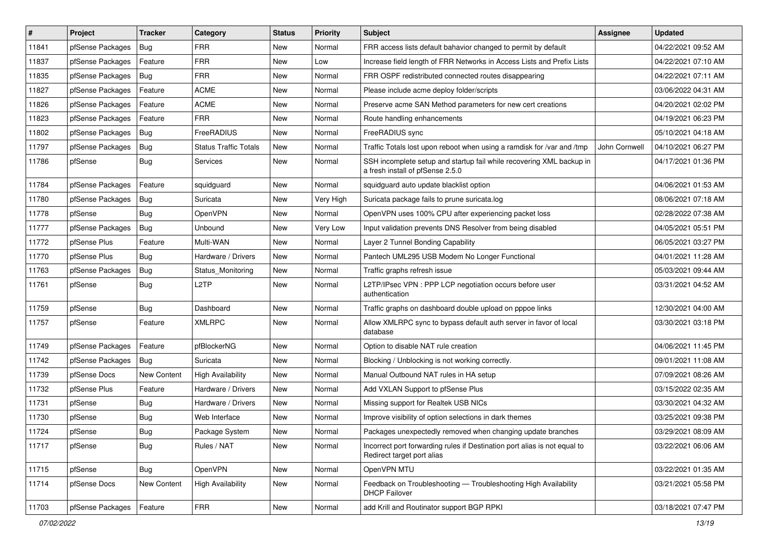| #     | Project          | <b>Tracker</b> | Category                     | <b>Status</b> | <b>Priority</b> | <b>Subject</b>                                                                                           | <b>Assignee</b> | <b>Updated</b>      |
|-------|------------------|----------------|------------------------------|---------------|-----------------|----------------------------------------------------------------------------------------------------------|-----------------|---------------------|
| 11841 | pfSense Packages | Bug            | <b>FRR</b>                   | New           | Normal          | FRR access lists default bahavior changed to permit by default                                           |                 | 04/22/2021 09:52 AM |
| 11837 | pfSense Packages | Feature        | <b>FRR</b>                   | New           | Low             | Increase field length of FRR Networks in Access Lists and Prefix Lists                                   |                 | 04/22/2021 07:10 AM |
| 11835 | pfSense Packages | Bug            | <b>FRR</b>                   | New           | Normal          | FRR OSPF redistributed connected routes disappearing                                                     |                 | 04/22/2021 07:11 AM |
| 11827 | pfSense Packages | Feature        | <b>ACME</b>                  | New           | Normal          | Please include acme deploy folder/scripts                                                                |                 | 03/06/2022 04:31 AM |
| 11826 | pfSense Packages | Feature        | <b>ACME</b>                  | New           | Normal          | Preserve acme SAN Method parameters for new cert creations                                               |                 | 04/20/2021 02:02 PM |
| 11823 | pfSense Packages | Feature        | <b>FRR</b>                   | New           | Normal          | Route handling enhancements                                                                              |                 | 04/19/2021 06:23 PM |
| 11802 | pfSense Packages | <b>Bug</b>     | FreeRADIUS                   | New           | Normal          | FreeRADIUS sync                                                                                          |                 | 05/10/2021 04:18 AM |
| 11797 | pfSense Packages | Bug            | <b>Status Traffic Totals</b> | New           | Normal          | Traffic Totals lost upon reboot when using a ramdisk for /var and /tmp                                   | John Cornwell   | 04/10/2021 06:27 PM |
| 11786 | pfSense          | Bug            | <b>Services</b>              | New           | Normal          | SSH incomplete setup and startup fail while recovering XML backup in<br>a fresh install of pfSense 2.5.0 |                 | 04/17/2021 01:36 PM |
| 11784 | pfSense Packages | Feature        | squidguard                   | New           | Normal          | squidguard auto update blacklist option                                                                  |                 | 04/06/2021 01:53 AM |
| 11780 | pfSense Packages | Bug            | Suricata                     | New           | Very High       | Suricata package fails to prune suricata.log                                                             |                 | 08/06/2021 07:18 AM |
| 11778 | pfSense          | Bug            | OpenVPN                      | New           | Normal          | OpenVPN uses 100% CPU after experiencing packet loss                                                     |                 | 02/28/2022 07:38 AM |
| 11777 | pfSense Packages | Bug            | Unbound                      | New           | Very Low        | Input validation prevents DNS Resolver from being disabled                                               |                 | 04/05/2021 05:51 PM |
| 11772 | pfSense Plus     | Feature        | Multi-WAN                    | New           | Normal          | Layer 2 Tunnel Bonding Capability                                                                        |                 | 06/05/2021 03:27 PM |
| 11770 | pfSense Plus     | Bug            | Hardware / Drivers           | New           | Normal          | Pantech UML295 USB Modem No Longer Functional                                                            |                 | 04/01/2021 11:28 AM |
| 11763 | pfSense Packages | <b>Bug</b>     | Status_Monitoring            | New           | Normal          | Traffic graphs refresh issue                                                                             |                 | 05/03/2021 09:44 AM |
| 11761 | pfSense          | Bug            | L <sub>2</sub> TP            | New           | Normal          | L2TP/IPsec VPN : PPP LCP negotiation occurs before user<br>authentication                                |                 | 03/31/2021 04:52 AM |
| 11759 | pfSense          | Bug            | Dashboard                    | New           | Normal          | Traffic graphs on dashboard double upload on pppoe links                                                 |                 | 12/30/2021 04:00 AM |
| 11757 | pfSense          | Feature        | <b>XMLRPC</b>                | New           | Normal          | Allow XMLRPC sync to bypass default auth server in favor of local<br>database                            |                 | 03/30/2021 03:18 PM |
| 11749 | pfSense Packages | Feature        | pfBlockerNG                  | New           | Normal          | Option to disable NAT rule creation                                                                      |                 | 04/06/2021 11:45 PM |
| 11742 | pfSense Packages | Bug            | Suricata                     | New           | Normal          | Blocking / Unblocking is not working correctly.                                                          |                 | 09/01/2021 11:08 AM |
| 11739 | pfSense Docs     | New Content    | <b>High Availability</b>     | New           | Normal          | Manual Outbound NAT rules in HA setup                                                                    |                 | 07/09/2021 08:26 AM |
| 11732 | pfSense Plus     | Feature        | Hardware / Drivers           | New           | Normal          | Add VXLAN Support to pfSense Plus                                                                        |                 | 03/15/2022 02:35 AM |
| 11731 | pfSense          | Bug            | Hardware / Drivers           | New           | Normal          | Missing support for Realtek USB NICs                                                                     |                 | 03/30/2021 04:32 AM |
| 11730 | pfSense          | Bug            | Web Interface                | New           | Normal          | Improve visibility of option selections in dark themes                                                   |                 | 03/25/2021 09:38 PM |
| 11724 | pfSense          | <b>Bug</b>     | Package System               | New           | Normal          | Packages unexpectedly removed when changing update branches                                              |                 | 03/29/2021 08:09 AM |
| 11717 | pfSense          | Bug            | Rules / NAT                  | New           | Normal          | Incorrect port forwarding rules if Destination port alias is not equal to<br>Redirect target port alias  |                 | 03/22/2021 06:06 AM |
| 11715 | pfSense          | Bug            | OpenVPN                      | New           | Normal          | OpenVPN MTU                                                                                              |                 | 03/22/2021 01:35 AM |
| 11714 | pfSense Docs     | New Content    | <b>High Availability</b>     | New           | Normal          | Feedback on Troubleshooting - Troubleshooting High Availability<br><b>DHCP Failover</b>                  |                 | 03/21/2021 05:58 PM |
| 11703 | pfSense Packages | Feature        | <b>FRR</b>                   | New           | Normal          | add Krill and Routinator support BGP RPKI                                                                |                 | 03/18/2021 07:47 PM |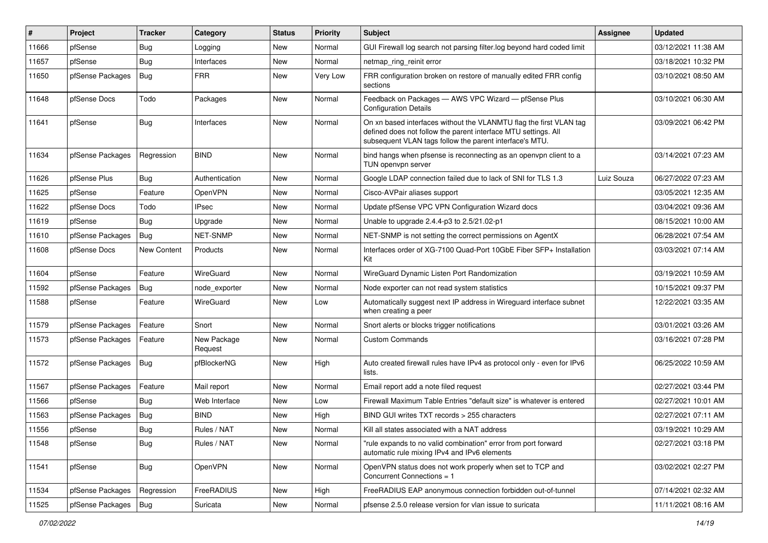| #     | Project          | <b>Tracker</b> | Category               | <b>Status</b> | <b>Priority</b> | <b>Subject</b>                                                                                                                                                                                  | <b>Assignee</b> | <b>Updated</b>      |
|-------|------------------|----------------|------------------------|---------------|-----------------|-------------------------------------------------------------------------------------------------------------------------------------------------------------------------------------------------|-----------------|---------------------|
| 11666 | pfSense          | <b>Bug</b>     | Logging                | New           | Normal          | GUI Firewall log search not parsing filter.log beyond hard coded limit                                                                                                                          |                 | 03/12/2021 11:38 AM |
| 11657 | pfSense          | Bug            | Interfaces             | New           | Normal          | netmap ring reinit error                                                                                                                                                                        |                 | 03/18/2021 10:32 PM |
| 11650 | pfSense Packages | <b>Bug</b>     | <b>FRR</b>             | New           | Very Low        | FRR configuration broken on restore of manually edited FRR config<br>sections                                                                                                                   |                 | 03/10/2021 08:50 AM |
| 11648 | pfSense Docs     | Todo           | Packages               | New           | Normal          | Feedback on Packages - AWS VPC Wizard - pfSense Plus<br><b>Configuration Details</b>                                                                                                            |                 | 03/10/2021 06:30 AM |
| 11641 | pfSense          | Bug            | Interfaces             | New           | Normal          | On xn based interfaces without the VLANMTU flag the first VLAN tag<br>defined does not follow the parent interface MTU settings. All<br>subsequent VLAN tags follow the parent interface's MTU. |                 | 03/09/2021 06:42 PM |
| 11634 | pfSense Packages | Regression     | <b>BIND</b>            | New           | Normal          | bind hangs when pfsense is reconnecting as an openvpn client to a<br>TUN openvpn server                                                                                                         |                 | 03/14/2021 07:23 AM |
| 11626 | pfSense Plus     | Bug            | Authentication         | New           | Normal          | Google LDAP connection failed due to lack of SNI for TLS 1.3                                                                                                                                    | Luiz Souza      | 06/27/2022 07:23 AM |
| 11625 | pfSense          | Feature        | OpenVPN                | New           | Normal          | Cisco-AVPair aliases support                                                                                                                                                                    |                 | 03/05/2021 12:35 AM |
| 11622 | pfSense Docs     | Todo           | <b>IPsec</b>           | New           | Normal          | Update pfSense VPC VPN Configuration Wizard docs                                                                                                                                                |                 | 03/04/2021 09:36 AM |
| 11619 | pfSense          | Bug            | Upgrade                | New           | Normal          | Unable to upgrade 2.4.4-p3 to 2.5/21.02-p1                                                                                                                                                      |                 | 08/15/2021 10:00 AM |
| 11610 | pfSense Packages | <b>Bug</b>     | <b>NET-SNMP</b>        | <b>New</b>    | Normal          | NET-SNMP is not setting the correct permissions on AgentX                                                                                                                                       |                 | 06/28/2021 07:54 AM |
| 11608 | pfSense Docs     | New Content    | Products               | New           | Normal          | Interfaces order of XG-7100 Quad-Port 10GbE Fiber SFP+ Installation<br>Kit                                                                                                                      |                 | 03/03/2021 07:14 AM |
| 11604 | pfSense          | Feature        | WireGuard              | New           | Normal          | WireGuard Dynamic Listen Port Randomization                                                                                                                                                     |                 | 03/19/2021 10:59 AM |
| 11592 | pfSense Packages | <b>Bug</b>     | node_exporter          | New           | Normal          | Node exporter can not read system statistics                                                                                                                                                    |                 | 10/15/2021 09:37 PM |
| 11588 | pfSense          | Feature        | WireGuard              | New           | Low             | Automatically suggest next IP address in Wireguard interface subnet<br>when creating a peer                                                                                                     |                 | 12/22/2021 03:35 AM |
| 11579 | pfSense Packages | Feature        | Snort                  | New           | Normal          | Snort alerts or blocks trigger notifications                                                                                                                                                    |                 | 03/01/2021 03:26 AM |
| 11573 | pfSense Packages | Feature        | New Package<br>Request | New           | Normal          | <b>Custom Commands</b>                                                                                                                                                                          |                 | 03/16/2021 07:28 PM |
| 11572 | pfSense Packages | <b>Bug</b>     | pfBlockerNG            | New           | High            | Auto created firewall rules have IPv4 as protocol only - even for IPv6<br>lists.                                                                                                                |                 | 06/25/2022 10:59 AM |
| 11567 | pfSense Packages | Feature        | Mail report            | New           | Normal          | Email report add a note filed request                                                                                                                                                           |                 | 02/27/2021 03:44 PM |
| 11566 | pfSense          | Bug            | Web Interface          | New           | Low             | Firewall Maximum Table Entries "default size" is whatever is entered                                                                                                                            |                 | 02/27/2021 10:01 AM |
| 11563 | pfSense Packages | Bug            | <b>BIND</b>            | New           | High            | BIND GUI writes TXT records > 255 characters                                                                                                                                                    |                 | 02/27/2021 07:11 AM |
| 11556 | pfSense          | <b>Bug</b>     | Rules / NAT            | <b>New</b>    | Normal          | Kill all states associated with a NAT address                                                                                                                                                   |                 | 03/19/2021 10:29 AM |
| 11548 | pfSense          | <b>Bug</b>     | Rules / NAT            | New           | Normal          | "rule expands to no valid combination" error from port forward<br>automatic rule mixing IPv4 and IPv6 elements                                                                                  |                 | 02/27/2021 03:18 PM |
| 11541 | pfSense          | Bug            | OpenVPN                | New           | Normal          | OpenVPN status does not work properly when set to TCP and<br>Concurrent Connections = 1                                                                                                         |                 | 03/02/2021 02:27 PM |
| 11534 | pfSense Packages | Regression     | FreeRADIUS             | New           | High            | FreeRADIUS EAP anonymous connection forbidden out-of-tunnel                                                                                                                                     |                 | 07/14/2021 02:32 AM |
| 11525 | pfSense Packages | Bug            | Suricata               | New           | Normal          | pfsense 2.5.0 release version for vlan issue to suricata                                                                                                                                        |                 | 11/11/2021 08:16 AM |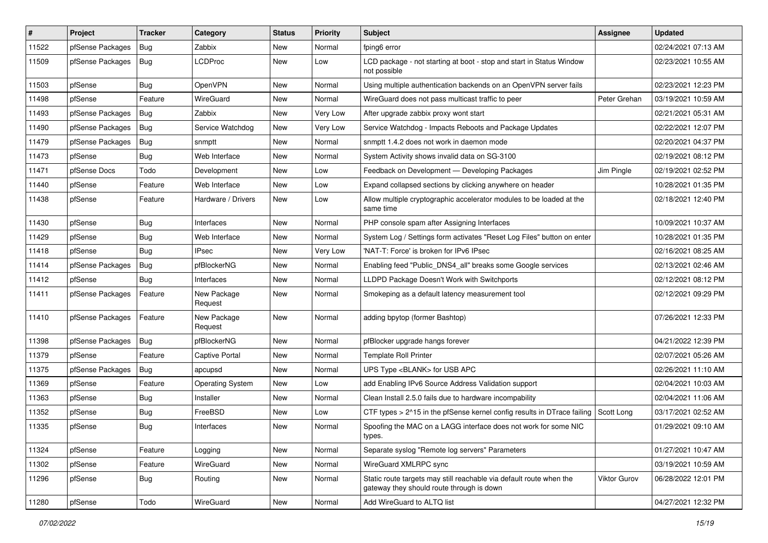| $\vert$ # | Project          | Tracker    | Category                | <b>Status</b> | <b>Priority</b> | <b>Subject</b>                                                                                                   | Assignee            | <b>Updated</b>      |
|-----------|------------------|------------|-------------------------|---------------|-----------------|------------------------------------------------------------------------------------------------------------------|---------------------|---------------------|
| 11522     | pfSense Packages | Bug        | Zabbix                  | New           | Normal          | fping6 error                                                                                                     |                     | 02/24/2021 07:13 AM |
| 11509     | pfSense Packages | Bug        | <b>LCDProc</b>          | New           | Low             | LCD package - not starting at boot - stop and start in Status Window<br>not possible                             |                     | 02/23/2021 10:55 AM |
| 11503     | pfSense          | <b>Bug</b> | OpenVPN                 | New           | Normal          | Using multiple authentication backends on an OpenVPN server fails                                                |                     | 02/23/2021 12:23 PM |
| 11498     | pfSense          | Feature    | WireGuard               | New           | Normal          | WireGuard does not pass multicast traffic to peer                                                                | Peter Grehan        | 03/19/2021 10:59 AM |
| 11493     | pfSense Packages | Bug        | Zabbix                  | New           | Very Low        | After upgrade zabbix proxy wont start                                                                            |                     | 02/21/2021 05:31 AM |
| 11490     | pfSense Packages | Bug        | Service Watchdog        | New           | Very Low        | Service Watchdog - Impacts Reboots and Package Updates                                                           |                     | 02/22/2021 12:07 PM |
| 11479     | pfSense Packages | Bug        | snmptt                  | New           | Normal          | snmptt 1.4.2 does not work in daemon mode                                                                        |                     | 02/20/2021 04:37 PM |
| 11473     | pfSense          | <b>Bug</b> | Web Interface           | New           | Normal          | System Activity shows invalid data on SG-3100                                                                    |                     | 02/19/2021 08:12 PM |
| 11471     | pfSense Docs     | Todo       | Development             | New           | Low             | Feedback on Development - Developing Packages                                                                    | Jim Pingle          | 02/19/2021 02:52 PM |
| 11440     | pfSense          | Feature    | Web Interface           | New           | Low             | Expand collapsed sections by clicking anywhere on header                                                         |                     | 10/28/2021 01:35 PM |
| 11438     | pfSense          | Feature    | Hardware / Drivers      | New           | Low             | Allow multiple cryptographic accelerator modules to be loaded at the<br>same time                                |                     | 02/18/2021 12:40 PM |
| 11430     | pfSense          | Bug        | Interfaces              | New           | Normal          | PHP console spam after Assigning Interfaces                                                                      |                     | 10/09/2021 10:37 AM |
| 11429     | pfSense          | <b>Bug</b> | Web Interface           | New           | Normal          | System Log / Settings form activates "Reset Log Files" button on enter                                           |                     | 10/28/2021 01:35 PM |
| 11418     | pfSense          | Bug        | <b>IPsec</b>            | New           | Very Low        | 'NAT-T: Force' is broken for IPv6 IPsec                                                                          |                     | 02/16/2021 08:25 AM |
| 11414     | pfSense Packages | Bug        | pfBlockerNG             | New           | Normal          | Enabling feed "Public_DNS4_all" breaks some Google services                                                      |                     | 02/13/2021 02:46 AM |
| 11412     | pfSense          | Bug        | Interfaces              | New           | Normal          | LLDPD Package Doesn't Work with Switchports                                                                      |                     | 02/12/2021 08:12 PM |
| 11411     | pfSense Packages | Feature    | New Package<br>Request  | New           | Normal          | Smokeping as a default latency measurement tool                                                                  |                     | 02/12/2021 09:29 PM |
| 11410     | pfSense Packages | Feature    | New Package<br>Request  | New           | Normal          | adding bpytop (former Bashtop)                                                                                   |                     | 07/26/2021 12:33 PM |
| 11398     | pfSense Packages | Bug        | pfBlockerNG             | New           | Normal          | pfBlocker upgrade hangs forever                                                                                  |                     | 04/21/2022 12:39 PM |
| 11379     | pfSense          | Feature    | <b>Captive Portal</b>   | New           | Normal          | <b>Template Roll Printer</b>                                                                                     |                     | 02/07/2021 05:26 AM |
| 11375     | pfSense Packages | Bug        | apcupsd                 | New           | Normal          | UPS Type <blank> for USB APC</blank>                                                                             |                     | 02/26/2021 11:10 AM |
| 11369     | pfSense          | Feature    | <b>Operating System</b> | New           | Low             | add Enabling IPv6 Source Address Validation support                                                              |                     | 02/04/2021 10:03 AM |
| 11363     | pfSense          | <b>Bug</b> | Installer               | New           | Normal          | Clean Install 2.5.0 fails due to hardware incompability                                                          |                     | 02/04/2021 11:06 AM |
| 11352     | pfSense          | Bug        | FreeBSD                 | New           | Low             | CTF types > 2^15 in the pfSense kernel config results in DTrace failing                                          | Scott Long          | 03/17/2021 02:52 AM |
| 11335     | pfSense          | <b>Bug</b> | Interfaces              | New           | Normal          | Spoofing the MAC on a LAGG interface does not work for some NIC<br>types.                                        |                     | 01/29/2021 09:10 AM |
| 11324     | pfSense          | Feature    | Logging                 | New           | Normal          | Separate syslog "Remote log servers" Parameters                                                                  |                     | 01/27/2021 10:47 AM |
| 11302     | pfSense          | Feature    | WireGuard               | New           | Normal          | WireGuard XMLRPC sync                                                                                            |                     | 03/19/2021 10:59 AM |
| 11296     | pfSense          | <b>Bug</b> | Routing                 | New           | Normal          | Static route targets may still reachable via default route when the<br>gateway they should route through is down | <b>Viktor Gurov</b> | 06/28/2022 12:01 PM |
| 11280     | pfSense          | Todo       | WireGuard               | New           | Normal          | Add WireGuard to ALTQ list                                                                                       |                     | 04/27/2021 12:32 PM |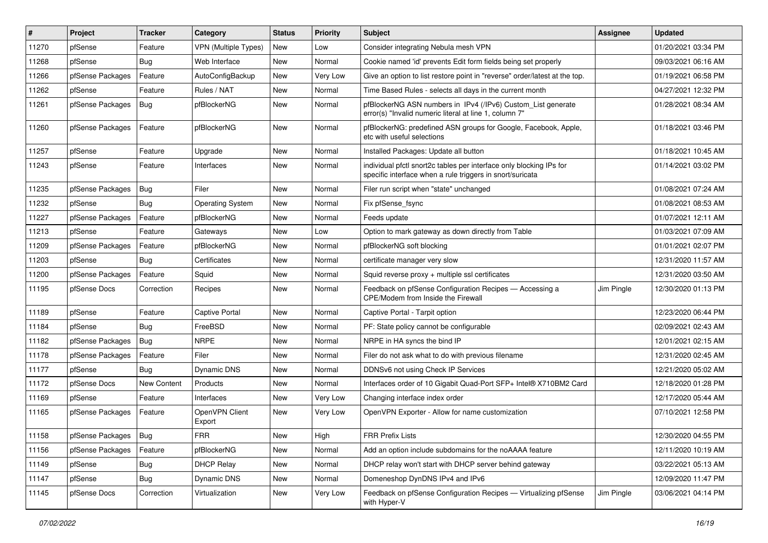| $\sharp$ | Project          | <b>Tracker</b> | Category                 | <b>Status</b> | <b>Priority</b> | Subject                                                                                                                          | <b>Assignee</b> | <b>Updated</b>      |
|----------|------------------|----------------|--------------------------|---------------|-----------------|----------------------------------------------------------------------------------------------------------------------------------|-----------------|---------------------|
| 11270    | pfSense          | Feature        | VPN (Multiple Types)     | New           | Low             | Consider integrating Nebula mesh VPN                                                                                             |                 | 01/20/2021 03:34 PM |
| 11268    | pfSense          | Bug            | Web Interface            | New           | Normal          | Cookie named 'id' prevents Edit form fields being set properly                                                                   |                 | 09/03/2021 06:16 AM |
| 11266    | pfSense Packages | Feature        | AutoConfigBackup         | New           | Very Low        | Give an option to list restore point in "reverse" order/latest at the top.                                                       |                 | 01/19/2021 06:58 PM |
| 11262    | pfSense          | Feature        | Rules / NAT              | New           | Normal          | Time Based Rules - selects all days in the current month                                                                         |                 | 04/27/2021 12:32 PM |
| 11261    | pfSense Packages | Bug            | pfBlockerNG              | New           | Normal          | pfBlockerNG ASN numbers in IPv4 (/IPv6) Custom_List generate<br>error(s) "Invalid numeric literal at line 1, column 7"           |                 | 01/28/2021 08:34 AM |
| 11260    | pfSense Packages | Feature        | pfBlockerNG              | New           | Normal          | pfBlockerNG: predefined ASN groups for Google, Facebook, Apple,<br>etc with useful selections                                    |                 | 01/18/2021 03:46 PM |
| 11257    | pfSense          | Feature        | Upgrade                  | New           | Normal          | Installed Packages: Update all button                                                                                            |                 | 01/18/2021 10:45 AM |
| 11243    | pfSense          | Feature        | Interfaces               | New           | Normal          | individual pfctl snort2c tables per interface only blocking IPs for<br>specific interface when a rule triggers in snort/suricata |                 | 01/14/2021 03:02 PM |
| 11235    | pfSense Packages | Bug            | Filer                    | New           | Normal          | Filer run script when "state" unchanged                                                                                          |                 | 01/08/2021 07:24 AM |
| 11232    | pfSense          | Bug            | <b>Operating System</b>  | New           | Normal          | Fix pfSense_fsync                                                                                                                |                 | 01/08/2021 08:53 AM |
| 11227    | pfSense Packages | Feature        | pfBlockerNG              | New           | Normal          | Feeds update                                                                                                                     |                 | 01/07/2021 12:11 AM |
| 11213    | pfSense          | Feature        | Gateways                 | New           | Low             | Option to mark gateway as down directly from Table                                                                               |                 | 01/03/2021 07:09 AM |
| 11209    | pfSense Packages | Feature        | pfBlockerNG              | New           | Normal          | pfBlockerNG soft blocking                                                                                                        |                 | 01/01/2021 02:07 PM |
| 11203    | pfSense          | Bug            | Certificates             | New           | Normal          | certificate manager very slow                                                                                                    |                 | 12/31/2020 11:57 AM |
| 11200    | pfSense Packages | Feature        | Squid                    | New           | Normal          | Squid reverse proxy + multiple ssl certificates                                                                                  |                 | 12/31/2020 03:50 AM |
| 11195    | pfSense Docs     | Correction     | Recipes                  | New           | Normal          | Feedback on pfSense Configuration Recipes - Accessing a<br>CPE/Modem from Inside the Firewall                                    | Jim Pingle      | 12/30/2020 01:13 PM |
| 11189    | pfSense          | Feature        | <b>Captive Portal</b>    | New           | Normal          | Captive Portal - Tarpit option                                                                                                   |                 | 12/23/2020 06:44 PM |
| 11184    | pfSense          | Bug            | FreeBSD                  | New           | Normal          | PF: State policy cannot be configurable                                                                                          |                 | 02/09/2021 02:43 AM |
| 11182    | pfSense Packages | Bug            | <b>NRPE</b>              | New           | Normal          | NRPE in HA syncs the bind IP                                                                                                     |                 | 12/01/2021 02:15 AM |
| 11178    | pfSense Packages | Feature        | Filer                    | New           | Normal          | Filer do not ask what to do with previous filename                                                                               |                 | 12/31/2020 02:45 AM |
| 11177    | pfSense          | Bug            | Dynamic DNS              | New           | Normal          | DDNSv6 not using Check IP Services                                                                                               |                 | 12/21/2020 05:02 AM |
| 11172    | pfSense Docs     | New Content    | Products                 | New           | Normal          | Interfaces order of 10 Gigabit Quad-Port SFP+ Intel® X710BM2 Card                                                                |                 | 12/18/2020 01:28 PM |
| 11169    | pfSense          | Feature        | Interfaces               | New           | Very Low        | Changing interface index order                                                                                                   |                 | 12/17/2020 05:44 AM |
| 11165    | pfSense Packages | Feature        | OpenVPN Client<br>Export | New           | Very Low        | OpenVPN Exporter - Allow for name customization                                                                                  |                 | 07/10/2021 12:58 PM |
| 11158    | pfSense Packages | Bug            | <b>FRR</b>               | New           | High            | FRR Prefix Lists                                                                                                                 |                 | 12/30/2020 04:55 PM |
| 11156    | pfSense Packages | Feature        | pfBlockerNG              | New           | Normal          | Add an option include subdomains for the noAAAA feature                                                                          |                 | 12/11/2020 10:19 AM |
| 11149    | pfSense          | <b>Bug</b>     | <b>DHCP Relay</b>        | New           | Normal          | DHCP relay won't start with DHCP server behind gateway                                                                           |                 | 03/22/2021 05:13 AM |
| 11147    | pfSense          | <b>Bug</b>     | Dynamic DNS              | New           | Normal          | Domeneshop DynDNS IPv4 and IPv6                                                                                                  |                 | 12/09/2020 11:47 PM |
| 11145    | pfSense Docs     | Correction     | Virtualization           | New           | Very Low        | Feedback on pfSense Configuration Recipes - Virtualizing pfSense<br>with Hyper-V                                                 | Jim Pingle      | 03/06/2021 04:14 PM |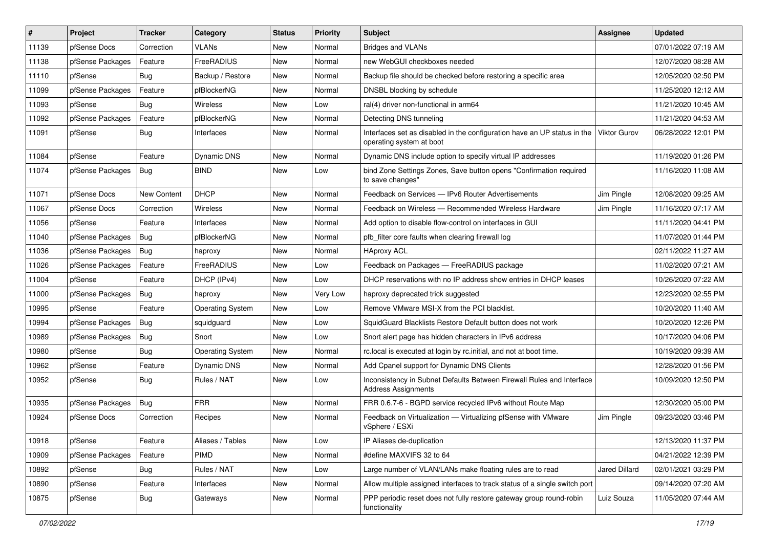| $\vert$ # | Project          | <b>Tracker</b> | Category                | <b>Status</b> | <b>Priority</b> | Subject                                                                                              | <b>Assignee</b> | <b>Updated</b>      |
|-----------|------------------|----------------|-------------------------|---------------|-----------------|------------------------------------------------------------------------------------------------------|-----------------|---------------------|
| 11139     | pfSense Docs     | Correction     | <b>VLANs</b>            | New           | Normal          | <b>Bridges and VLANs</b>                                                                             |                 | 07/01/2022 07:19 AM |
| 11138     | pfSense Packages | Feature        | FreeRADIUS              | New           | Normal          | new WebGUI checkboxes needed                                                                         |                 | 12/07/2020 08:28 AM |
| 11110     | pfSense          | Bug            | Backup / Restore        | New           | Normal          | Backup file should be checked before restoring a specific area                                       |                 | 12/05/2020 02:50 PM |
| 11099     | pfSense Packages | Feature        | pfBlockerNG             | New           | Normal          | DNSBL blocking by schedule                                                                           |                 | 11/25/2020 12:12 AM |
| 11093     | pfSense          | Bug            | Wireless                | New           | Low             | ral(4) driver non-functional in arm64                                                                |                 | 11/21/2020 10:45 AM |
| 11092     | pfSense Packages | Feature        | pfBlockerNG             | New           | Normal          | Detecting DNS tunneling                                                                              |                 | 11/21/2020 04:53 AM |
| 11091     | pfSense          | Bug            | Interfaces              | New           | Normal          | Interfaces set as disabled in the configuration have an UP status in the<br>operating system at boot | Viktor Gurov    | 06/28/2022 12:01 PM |
| 11084     | pfSense          | Feature        | <b>Dynamic DNS</b>      | New           | Normal          | Dynamic DNS include option to specify virtual IP addresses                                           |                 | 11/19/2020 01:26 PM |
| 11074     | pfSense Packages | <b>Bug</b>     | <b>BIND</b>             | New           | Low             | bind Zone Settings Zones, Save button opens "Confirmation required<br>to save changes"               |                 | 11/16/2020 11:08 AM |
| 11071     | pfSense Docs     | New Content    | <b>DHCP</b>             | New           | Normal          | Feedback on Services - IPv6 Router Advertisements                                                    | Jim Pingle      | 12/08/2020 09:25 AM |
| 11067     | pfSense Docs     | Correction     | Wireless                | New           | Normal          | Feedback on Wireless - Recommended Wireless Hardware                                                 | Jim Pingle      | 11/16/2020 07:17 AM |
| 11056     | pfSense          | Feature        | Interfaces              | New           | Normal          | Add option to disable flow-control on interfaces in GUI                                              |                 | 11/11/2020 04:41 PM |
| 11040     | pfSense Packages | Bug            | pfBlockerNG             | New           | Normal          | pfb filter core faults when clearing firewall log                                                    |                 | 11/07/2020 01:44 PM |
| 11036     | pfSense Packages | Bug            | haproxy                 | New           | Normal          | <b>HAproxy ACL</b>                                                                                   |                 | 02/11/2022 11:27 AM |
| 11026     | pfSense Packages | Feature        | FreeRADIUS              | New           | Low             | Feedback on Packages - FreeRADIUS package                                                            |                 | 11/02/2020 07:21 AM |
| 11004     | pfSense          | Feature        | DHCP (IPv4)             | New           | Low             | DHCP reservations with no IP address show entries in DHCP leases                                     |                 | 10/26/2020 07:22 AM |
| 11000     | pfSense Packages | Bug            | haproxy                 | New           | Very Low        | haproxy deprecated trick suggested                                                                   |                 | 12/23/2020 02:55 PM |
| 10995     | pfSense          | Feature        | <b>Operating System</b> | New           | Low             | Remove VMware MSI-X from the PCI blacklist.                                                          |                 | 10/20/2020 11:40 AM |
| 10994     | pfSense Packages | Bug            | squidguard              | New           | Low             | SquidGuard Blacklists Restore Default button does not work                                           |                 | 10/20/2020 12:26 PM |
| 10989     | pfSense Packages | Bug            | Snort                   | New           | Low             | Snort alert page has hidden characters in IPv6 address                                               |                 | 10/17/2020 04:06 PM |
| 10980     | pfSense          | Bug            | <b>Operating System</b> | New           | Normal          | rc.local is executed at login by rc.initial, and not at boot time.                                   |                 | 10/19/2020 09:39 AM |
| 10962     | pfSense          | Feature        | Dynamic DNS             | New           | Normal          | Add Cpanel support for Dynamic DNS Clients                                                           |                 | 12/28/2020 01:56 PM |
| 10952     | pfSense          | Bug            | Rules / NAT             | New           | Low             | Inconsistency in Subnet Defaults Between Firewall Rules and Interface<br><b>Address Assignments</b>  |                 | 10/09/2020 12:50 PM |
| 10935     | pfSense Packages | Bug            | <b>FRR</b>              | New           | Normal          | FRR 0.6.7-6 - BGPD service recycled IPv6 without Route Map                                           |                 | 12/30/2020 05:00 PM |
| 10924     | pfSense Docs     | Correction     | Recipes                 | New           | Normal          | Feedback on Virtualization - Virtualizing pfSense with VMware<br>vSphere / ESXi                      | Jim Pingle      | 09/23/2020 03:46 PM |
| 10918     | pfSense          | Feature        | Aliases / Tables        | New           | Low             | IP Aliases de-duplication                                                                            |                 | 12/13/2020 11:37 PM |
| 10909     | pfSense Packages | Feature        | <b>PIMD</b>             | New           | Normal          | #define MAXVIFS 32 to 64                                                                             |                 | 04/21/2022 12:39 PM |
| 10892     | pfSense          | <b>Bug</b>     | Rules / NAT             | New           | Low             | Large number of VLAN/LANs make floating rules are to read                                            | Jared Dillard   | 02/01/2021 03:29 PM |
| 10890     | pfSense          | Feature        | Interfaces              | New           | Normal          | Allow multiple assigned interfaces to track status of a single switch port                           |                 | 09/14/2020 07:20 AM |
| 10875     | pfSense          | <b>Bug</b>     | Gateways                | New           | Normal          | PPP periodic reset does not fully restore gateway group round-robin<br>functionality                 | Luiz Souza      | 11/05/2020 07:44 AM |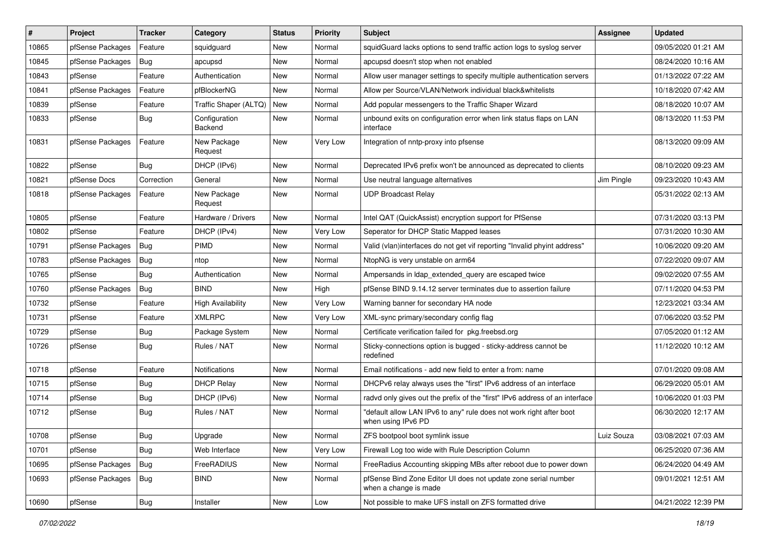| #     | Project          | <b>Tracker</b> | Category                 | <b>Status</b> | <b>Priority</b> | Subject                                                                                   | <b>Assignee</b> | <b>Updated</b>      |
|-------|------------------|----------------|--------------------------|---------------|-----------------|-------------------------------------------------------------------------------------------|-----------------|---------------------|
| 10865 | pfSense Packages | Feature        | squidguard               | New           | Normal          | squidGuard lacks options to send traffic action logs to syslog server                     |                 | 09/05/2020 01:21 AM |
| 10845 | pfSense Packages | Bug            | apcupsd                  | New           | Normal          | apcupsd doesn't stop when not enabled                                                     |                 | 08/24/2020 10:16 AM |
| 10843 | pfSense          | Feature        | Authentication           | New           | Normal          | Allow user manager settings to specify multiple authentication servers                    |                 | 01/13/2022 07:22 AM |
| 10841 | pfSense Packages | Feature        | pfBlockerNG              | New           | Normal          | Allow per Source/VLAN/Network individual black&whitelists                                 |                 | 10/18/2020 07:42 AM |
| 10839 | pfSense          | Feature        | Traffic Shaper (ALTQ)    | <b>New</b>    | Normal          | Add popular messengers to the Traffic Shaper Wizard                                       |                 | 08/18/2020 10:07 AM |
| 10833 | pfSense          | Bug            | Configuration<br>Backend | New           | Normal          | unbound exits on configuration error when link status flaps on LAN<br>interface           |                 | 08/13/2020 11:53 PM |
| 10831 | pfSense Packages | Feature        | New Package<br>Request   | New           | Very Low        | Integration of nntp-proxy into pfsense                                                    |                 | 08/13/2020 09:09 AM |
| 10822 | pfSense          | Bug            | DHCP (IPv6)              | New           | Normal          | Deprecated IPv6 prefix won't be announced as deprecated to clients                        |                 | 08/10/2020 09:23 AM |
| 10821 | pfSense Docs     | Correction     | General                  | New           | Normal          | Use neutral language alternatives                                                         | Jim Pingle      | 09/23/2020 10:43 AM |
| 10818 | pfSense Packages | Feature        | New Package<br>Request   | New           | Normal          | <b>UDP Broadcast Relay</b>                                                                |                 | 05/31/2022 02:13 AM |
| 10805 | pfSense          | Feature        | Hardware / Drivers       | New           | Normal          | Intel QAT (QuickAssist) encryption support for PfSense                                    |                 | 07/31/2020 03:13 PM |
| 10802 | pfSense          | Feature        | DHCP (IPv4)              | New           | Very Low        | Seperator for DHCP Static Mapped leases                                                   |                 | 07/31/2020 10:30 AM |
| 10791 | pfSense Packages | Bug            | <b>PIMD</b>              | New           | Normal          | Valid (vlan)interfaces do not get vif reporting "Invalid phyint address"                  |                 | 10/06/2020 09:20 AM |
| 10783 | pfSense Packages | Bug            | ntop                     | New           | Normal          | NtopNG is very unstable on arm64                                                          |                 | 07/22/2020 09:07 AM |
| 10765 | pfSense          | Bug            | Authentication           | New           | Normal          | Ampersands in Idap extended query are escaped twice                                       |                 | 09/02/2020 07:55 AM |
| 10760 | pfSense Packages | <b>Bug</b>     | <b>BIND</b>              | New           | High            | pfSense BIND 9.14.12 server terminates due to assertion failure                           |                 | 07/11/2020 04:53 PM |
| 10732 | pfSense          | Feature        | <b>High Availability</b> | New           | Very Low        | Warning banner for secondary HA node                                                      |                 | 12/23/2021 03:34 AM |
| 10731 | pfSense          | Feature        | <b>XMLRPC</b>            | New           | Very Low        | XML-sync primary/secondary config flag                                                    |                 | 07/06/2020 03:52 PM |
| 10729 | pfSense          | Bug            | Package System           | New           | Normal          | Certificate verification failed for pkg.freebsd.org                                       |                 | 07/05/2020 01:12 AM |
| 10726 | pfSense          | Bug            | Rules / NAT              | New           | Normal          | Sticky-connections option is bugged - sticky-address cannot be<br>redefined               |                 | 11/12/2020 10:12 AM |
| 10718 | pfSense          | Feature        | <b>Notifications</b>     | New           | Normal          | Email notifications - add new field to enter a from: name                                 |                 | 07/01/2020 09:08 AM |
| 10715 | pfSense          | Bug            | <b>DHCP Relay</b>        | New           | Normal          | DHCPv6 relay always uses the "first" IPv6 address of an interface                         |                 | 06/29/2020 05:01 AM |
| 10714 | pfSense          | <b>Bug</b>     | DHCP (IPv6)              | New           | Normal          | radvd only gives out the prefix of the "first" IPv6 address of an interface               |                 | 10/06/2020 01:03 PM |
| 10712 | pfSense          | <b>Bug</b>     | Rules / NAT              | New           | Normal          | "default allow LAN IPv6 to any" rule does not work right after boot<br>when using IPv6 PD |                 | 06/30/2020 12:17 AM |
| 10708 | pfSense          | Bug            | Upgrade                  | New           | Normal          | ZFS bootpool boot symlink issue                                                           | Luiz Souza      | 03/08/2021 07:03 AM |
| 10701 | pfSense          | Bug            | Web Interface            | New           | Very Low        | Firewall Log too wide with Rule Description Column                                        |                 | 06/25/2020 07:36 AM |
| 10695 | pfSense Packages | <b>Bug</b>     | FreeRADIUS               | New           | Normal          | FreeRadius Accounting skipping MBs after reboot due to power down                         |                 | 06/24/2020 04:49 AM |
| 10693 | pfSense Packages | <b>Bug</b>     | <b>BIND</b>              | New           | Normal          | pfSense Bind Zone Editor UI does not update zone serial number<br>when a change is made   |                 | 09/01/2021 12:51 AM |
| 10690 | pfSense          | <b>Bug</b>     | Installer                | New           | Low             | Not possible to make UFS install on ZFS formatted drive                                   |                 | 04/21/2022 12:39 PM |